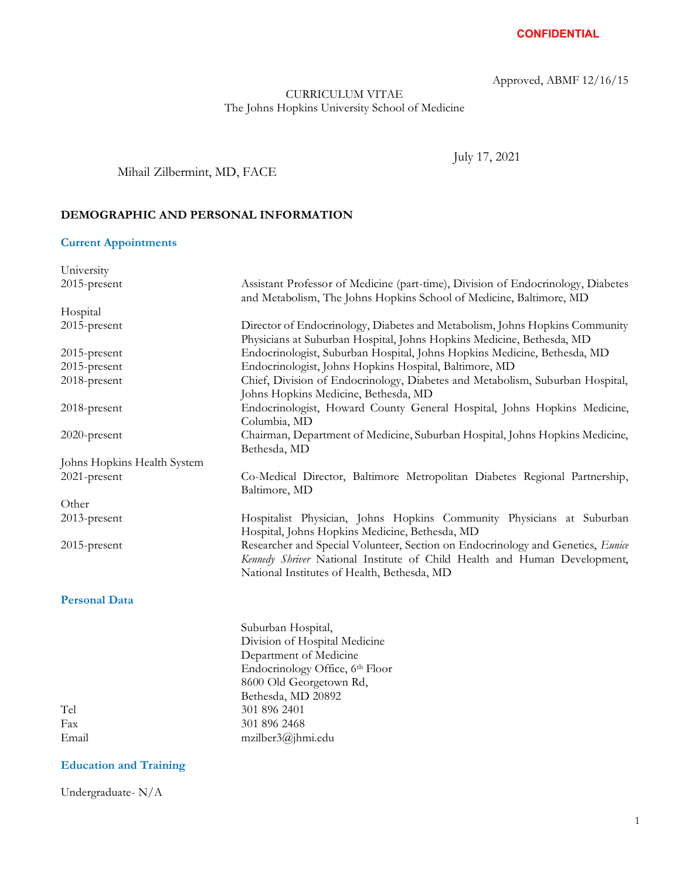Approved, ABMF 12/16/15

## CURRICULUM VITAE The Johns Hopkins University School of Medicine

July 17, 2021

## Mihail Zilbermint, MD, FACE

## **DEMOGRAPHIC AND PERSONAL INFORMATION**

## **Current Appointments**

| University                  |                                                                                                                                                                                                             |
|-----------------------------|-------------------------------------------------------------------------------------------------------------------------------------------------------------------------------------------------------------|
| 2015-present                | Assistant Professor of Medicine (part-time), Division of Endocrinology, Diabetes<br>and Metabolism, The Johns Hopkins School of Medicine, Baltimore, MD                                                     |
| Hospital                    |                                                                                                                                                                                                             |
| 2015-present                | Director of Endocrinology, Diabetes and Metabolism, Johns Hopkins Community<br>Physicians at Suburban Hospital, Johns Hopkins Medicine, Bethesda, MD                                                        |
| 2015-present                | Endocrinologist, Suburban Hospital, Johns Hopkins Medicine, Bethesda, MD                                                                                                                                    |
| 2015-present                | Endocrinologist, Johns Hopkins Hospital, Baltimore, MD                                                                                                                                                      |
| 2018-present                | Chief, Division of Endocrinology, Diabetes and Metabolism, Suburban Hospital,<br>Johns Hopkins Medicine, Bethesda, MD                                                                                       |
| 2018-present                | Endocrinologist, Howard County General Hospital, Johns Hopkins Medicine,<br>Columbia, MD                                                                                                                    |
| 2020-present                | Chairman, Department of Medicine, Suburban Hospital, Johns Hopkins Medicine,<br>Bethesda, MD                                                                                                                |
| Johns Hopkins Health System |                                                                                                                                                                                                             |
| 2021-present                | Co-Medical Director, Baltimore Metropolitan Diabetes Regional Partnership,<br>Baltimore, MD                                                                                                                 |
| Other                       |                                                                                                                                                                                                             |
| 2013-present                | Hospitalist Physician, Johns Hopkins Community Physicians at Suburban<br>Hospital, Johns Hopkins Medicine, Bethesda, MD                                                                                     |
| $2015$ -present             | Researcher and Special Volunteer, Section on Endocrinology and Genetics, Eunice<br>Kennedy Shriver National Institute of Child Health and Human Development,<br>National Institutes of Health, Bethesda, MD |
| <b>Personal Data</b>        |                                                                                                                                                                                                             |
|                             | Suburban Hospital,                                                                                                                                                                                          |
|                             | Division of Hospital Medicine                                                                                                                                                                               |
|                             | Department of Medicine                                                                                                                                                                                      |
|                             | Endocrinology Office, 6th Floor                                                                                                                                                                             |
|                             | 8600 Old Georgetown Rd,                                                                                                                                                                                     |
|                             | Bethesda, MD 20892                                                                                                                                                                                          |
| Tel                         | 301 896 2401                                                                                                                                                                                                |
| Fax                         | 301 896 2468                                                                                                                                                                                                |

### **Education and Training**

Email mzilber3@jhmi.edu

Undergraduate- N/A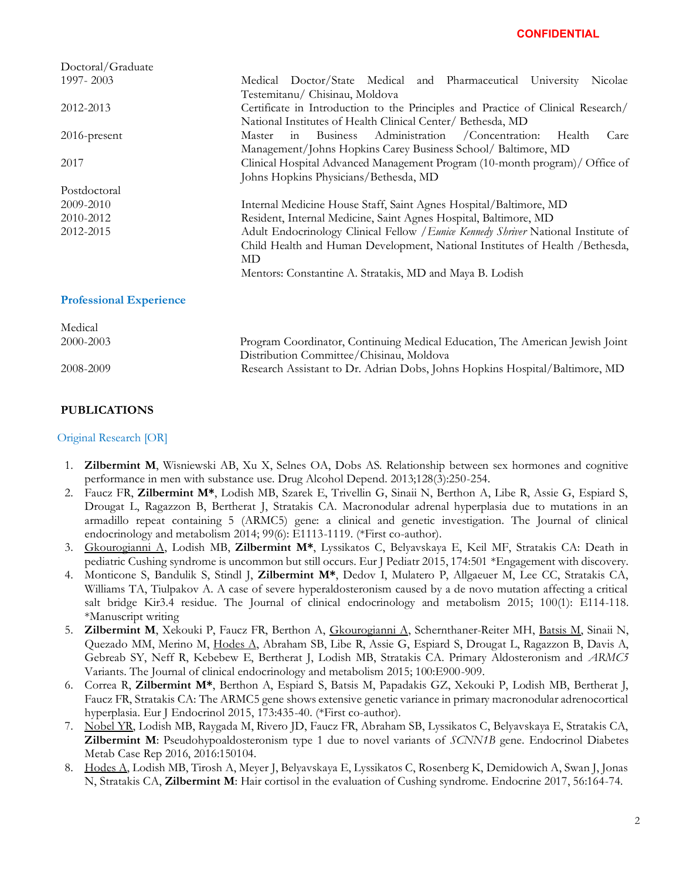| Doctoral/Graduate              |                                                                                    |
|--------------------------------|------------------------------------------------------------------------------------|
| 1997-2003                      | Medical Doctor/State Medical and Pharmaceutical University<br>Nicolae              |
|                                | Testemitanu/ Chisinau, Moldova                                                     |
| 2012-2013                      | Certificate in Introduction to the Principles and Practice of Clinical Research/   |
|                                | National Institutes of Health Clinical Center/ Bethesda, MD                        |
| $2016$ -present                | in Business Administration / Concentration:<br>Master<br>Health<br>Care            |
|                                | Management/Johns Hopkins Carey Business School/ Baltimore, MD                      |
| 2017                           | Clinical Hospital Advanced Management Program (10-month program)/ Office of        |
|                                | Johns Hopkins Physicians/Bethesda, MD                                              |
| Postdoctoral                   |                                                                                    |
| 2009-2010                      | Internal Medicine House Staff, Saint Agnes Hospital/Baltimore, MD                  |
| 2010-2012                      | Resident, Internal Medicine, Saint Agnes Hospital, Baltimore, MD                   |
| 2012-2015                      | Adult Endocrinology Clinical Fellow / Eunice Kennedy Shriver National Institute of |
|                                | Child Health and Human Development, National Institutes of Health / Bethesda,      |
|                                | MD                                                                                 |
|                                | Mentors: Constantine A. Stratakis, MD and Maya B. Lodish                           |
| <b>Professional Experience</b> |                                                                                    |
| Medical                        |                                                                                    |

| 2000-2003 | Program Coordinator, Continuing Medical Education, The American Jewish Joint |
|-----------|------------------------------------------------------------------------------|
|           | Distribution Committee/Chisinau, Moldova                                     |
| 2008-2009 | Research Assistant to Dr. Adrian Dobs, Johns Hopkins Hospital/Baltimore, MD  |

### **PUBLICATIONS**

#### **Periodic Perry 2** Original Research [OR]

- 1. **Zilbermint M**, Wisniewski AB, Xu X, Selnes OA, Dobs AS. Relationship between sex hormones and cognitive performance in men with substance use. Drug Alcohol Depend. 2013;128(3):250-254.
- 2. Faucz FR, **Zilbermint M\***, Lodish MB, Szarek E, Trivellin G, Sinaii N, Berthon A, Libe R, Assie G, Espiard S, Drougat L, Ragazzon B, Bertherat J, Stratakis CA. Macronodular adrenal hyperplasia due to mutations in an armadillo repeat containing 5 (ARMC5) gene: a clinical and genetic investigation. The Journal of clinical endocrinology and metabolism 2014; 99(6): E1113-1119. (\*First co-author).
- 3. Gkourogianni A, Lodish MB, **Zilbermint M\***, Lyssikatos C, Belyavskaya E, Keil MF, Stratakis CA: Death in pediatric Cushing syndrome is uncommon but still occurs. Eur J Pediatr 2015, 174:501 \*Engagement with discovery.
- 4. Monticone S, Bandulik S, Stindl J, **Zilbermint M\***, Dedov I, Mulatero P, Allgaeuer M, Lee CC, Stratakis CA, Williams TA, Tiulpakov A. A case of severe hyperaldosteronism caused by a de novo mutation affecting a critical salt bridge Kir3.4 residue. The Journal of clinical endocrinology and metabolism 2015; 100(1): E114-118. \*Manuscript writing
- 5. **Zilbermint M**, Xekouki P, Faucz FR, Berthon A, Gkourogianni A, Schernthaner-Reiter MH, Batsis M, Sinaii N, Quezado MM, Merino M, Hodes A, Abraham SB, Libe R, Assie G, Espiard S, Drougat L, Ragazzon B, Davis A, Gebreab SY, Neff R, Kebebew E, Bertherat J, Lodish MB, Stratakis CA. Primary Aldosteronism and *ARMC5* Variants. The Journal of clinical endocrinology and metabolism 2015; 100:E900-909.
- 6. Correa R, **Zilbermint M\***, Berthon A, Espiard S, Batsis M, Papadakis GZ, Xekouki P, Lodish MB, Bertherat J, Faucz FR, Stratakis CA: The ARMC5 gene shows extensive genetic variance in primary macronodular adrenocortical hyperplasia. Eur J Endocrinol 2015, 173:435-40. (\*First co-author).
- 7. Nobel YR, Lodish MB, Raygada M, Rivero JD, Faucz FR, Abraham SB, Lyssikatos C, Belyavskaya E, Stratakis CA, **Zilbermint M**: Pseudohypoaldosteronism type 1 due to novel variants of *SCNN1B* gene. Endocrinol Diabetes Metab Case Rep 2016, 2016:150104.
- 8. Hodes A, Lodish MB, Tirosh A, Meyer J, Belyavskaya E, Lyssikatos C, Rosenberg K, Demidowich A, Swan J, Jonas N, Stratakis CA, **Zilbermint M**: Hair cortisol in the evaluation of Cushing syndrome. Endocrine 2017, 56:164-74.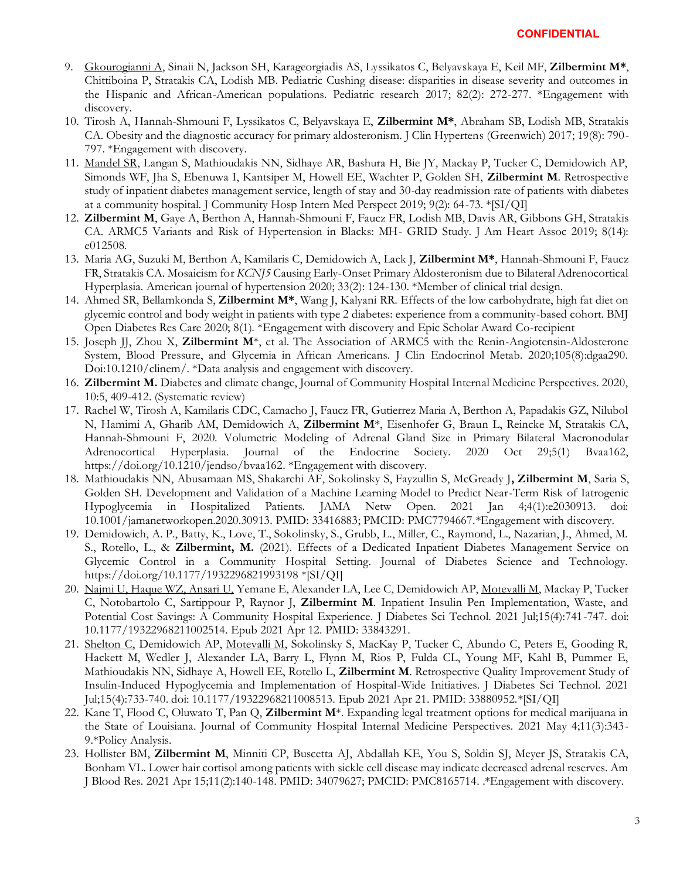- 9. Gkourogianni A, Sinaii N, Jackson SH, Karageorgiadis AS, Lyssikatos C, Belyavskaya E, Keil MF, **Zilbermint M\***, Chittiboina P, Stratakis CA, Lodish MB. Pediatric Cushing disease: disparities in disease severity and outcomes in the Hispanic and African-American populations. Pediatric research 2017; 82(2): 272-277. \*Engagement with discovery.
- 10. Tirosh A, Hannah-Shmouni F, Lyssikatos C, Belyavskaya E, **Zilbermint M\***, Abraham SB, Lodish MB, Stratakis CA. Obesity and the diagnostic accuracy for primary aldosteronism. J Clin Hypertens (Greenwich) 2017; 19(8): 790- 797. \*Engagement with discovery.
- 11. Mandel SR, Langan S, Mathioudakis NN, Sidhaye AR, Bashura H, Bie JY, Mackay P, Tucker C, Demidowich AP, Simonds WF, Jha S, Ebenuwa I, Kantsiper M, Howell EE, Wachter P, Golden SH, **Zilbermint M**. Retrospective study of inpatient diabetes management service, length of stay and 30-day readmission rate of patients with diabetes at a community hospital. J Community Hosp Intern Med Perspect 2019; 9(2): 64-73. \*[SI/QI]
- 12. **Zilbermint M**, Gaye A, Berthon A, Hannah-Shmouni F, Faucz FR, Lodish MB, Davis AR, Gibbons GH, Stratakis CA. ARMC5 Variants and Risk of Hypertension in Blacks: MH- GRID Study. J Am Heart Assoc 2019; 8(14): e012508.
- 13. Maria AG, Suzuki M, Berthon A, Kamilaris C, Demidowich A, Lack J, **Zilbermint M\***, Hannah-Shmouni F, Faucz FR, Stratakis CA. Mosaicism for *KCNJ5* Causing Early-Onset Primary Aldosteronism due to Bilateral Adrenocortical Hyperplasia. American journal of hypertension 2020; 33(2): 124-130. \*Member of clinical trial design.
- 14. Ahmed SR, Bellamkonda S, **Zilbermint M\***, Wang J, Kalyani RR. Effects of the low carbohydrate, high fat diet on glycemic control and body weight in patients with type 2 diabetes: experience from a community-based cohort. BMJ Open Diabetes Res Care 2020; 8(1). \*Engagement with discovery and Epic Scholar Award Co-recipient
- 15. Joseph JJ, Zhou X, **Zilbermint M**\*, et al. The Association of ARMC5 with the Renin-Angiotensin-Aldosterone System, Blood Pressure, and Glycemia in African Americans. J Clin Endocrinol Metab. 2020;105(8):dgaa290. Doi:10.1210/clinem/. \*Data analysis and engagement with discovery.
- 16. **Zilbermint M.** Diabetes and climate change, Journal of Community Hospital Internal Medicine Perspectives. 2020, 10:5, 409-412. (Systematic review)
- 17. Rachel W, Tirosh A, Kamilaris CDC, Camacho J, Faucz FR, Gutierrez Maria A, Berthon A, Papadakis GZ, Nilubol N, Hamimi A, Gharib AM, Demidowich A, **Zilbermint M**\*, Eisenhofer G, Braun L, Reincke M, Stratakis CA, Hannah-Shmouni F, 2020. Volumetric Modeling of Adrenal Gland Size in Primary Bilateral Macronodular Adrenocortical Hyperplasia. Journal of the Endocrine Society. 2020 Oct 29;5(1) Bvaa162, https://doi.org/10.1210/jendso/bvaa162. \*Engagement with discovery.
- 18. Mathioudakis NN, Abusamaan MS, Shakarchi AF, Sokolinsky S, Fayzullin S, McGready J**, Zilbermint M**, Saria S, Golden SH. Development and Validation of a Machine Learning Model to Predict Near-Term Risk of Iatrogenic Hypoglycemia in Hospitalized Patients. JAMA Netw Open. 2021 Jan 4;4(1):e2030913. 10.1001/jamanetworkopen.2020.30913. PMID: 33416883; PMCID: PMC7794667.\*Engagement with discovery.
- 19. Demidowich, A. P., Batty, K., Love, T., Sokolinsky, S., Grubb, L., Miller, C., Raymond, L., Nazarian, J., Ahmed, M. S., Rotello, L., & **Zilbermint, M.** (2021). Effects of a Dedicated Inpatient Diabetes Management Service on Glycemic Control in a Community Hospital Setting. Journal of Diabetes Science and Technology. https://doi.org/10.1177/1932296821993198 \*[SI/QI]
- 20. Najmi U, Haque WZ, Ansari U, Yemane E, Alexander LA, Lee C, Demidowich AP, Motevalli M, Mackay P, Tucker C, Notobartolo C, Sartippour P, Raynor J, **Zilbermint M**. Inpatient Insulin Pen Implementation, Waste, and Potential Cost Savings: A Community Hospital Experience. J Diabetes Sci Technol. 2021 Jul;15(4):741-747. doi: 10.1177/19322968211002514. Epub 2021 Apr 12. PMID: 33843291.
- 21. Shelton C, Demidowich AP, Motevalli M, Sokolinsky S, MacKay P, Tucker C, Abundo C, Peters E, Gooding R, Hackett M, Wedler J, Alexander LA, Barry L, Flynn M, Rios P, Fulda CL, Young MF, Kahl B, Pummer E, Mathioudakis NN, Sidhaye A, Howell EE, Rotello L, **Zilbermint M**. Retrospective Quality Improvement Study of Insulin-Induced Hypoglycemia and Implementation of Hospital-Wide Initiatives. J Diabetes Sci Technol. 2021 Jul;15(4):733-740. doi: 10.1177/19322968211008513. Epub 2021 Apr 21. PMID: 33880952.\*[SI/QI]
- 22. Kane T, Flood C, Oluwato T, Pan Q, **Zilbermint M**\*. Expanding legal treatment options for medical marijuana in the State of Louisiana. Journal of Community Hospital Internal Medicine Perspectives. 2021 May 4;11(3):343- 9.\*Policy Analysis.
- 23. Hollister BM, **Zilbermint M**, Minniti CP, Buscetta AJ, Abdallah KE, You S, Soldin SJ, Meyer JS, Stratakis CA, Bonham VL. Lower hair cortisol among patients with sickle cell disease may indicate decreased adrenal reserves. Am J Blood Res. 2021 Apr 15;11(2):140-148. PMID: 34079627; PMCID: PMC8165714. .\*Engagement with discovery.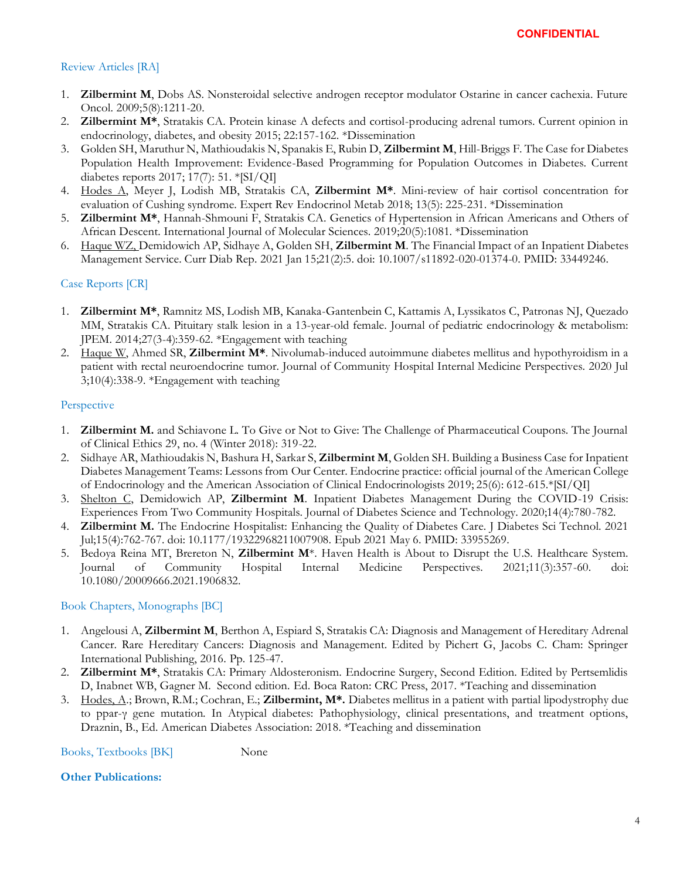## Review Articles [RA]

- 1. **Zilbermint M**, Dobs AS. Nonsteroidal selective androgen receptor modulator Ostarine in cancer cachexia. Future Oncol. 2009;5(8):1211-20.
- 2. **Zilbermint M\***, Stratakis CA. Protein kinase A defects and cortisol-producing adrenal tumors. Current opinion in endocrinology, diabetes, and obesity 2015; 22:157-162. \*Dissemination
- 3. Golden SH, Maruthur N, Mathioudakis N, Spanakis E, Rubin D, **Zilbermint M**, Hill-Briggs F. The Case for Diabetes Population Health Improvement: Evidence-Based Programming for Population Outcomes in Diabetes. Current diabetes reports 2017; 17(7): 51. \*[SI/QI]
- 4. Hodes A, Meyer J, Lodish MB, Stratakis CA, **Zilbermint M\***. Mini-review of hair cortisol concentration for evaluation of Cushing syndrome. Expert Rev Endocrinol Metab 2018; 13(5): 225-231. \*Dissemination
- 5. **Zilbermint M\***, Hannah-Shmouni F, Stratakis CA. Genetics of Hypertension in African Americans and Others of African Descent. International Journal of Molecular Sciences. 2019;20(5):1081. \*Dissemination
- 6. Haque WZ, Demidowich AP, Sidhaye A, Golden SH, **Zilbermint M**. The Financial Impact of an Inpatient Diabetes Management Service. Curr Diab Rep. 2021 Jan 15;21(2):5. doi: 10.1007/s11892-020-01374-0. PMID: 33449246.

## Case Reports [CR]

- 1. **Zilbermint M\***, Ramnitz MS, Lodish MB, Kanaka-Gantenbein C, Kattamis A, Lyssikatos C, Patronas NJ, Quezado MM, Stratakis CA. Pituitary stalk lesion in a 13-year-old female. Journal of pediatric endocrinology & metabolism: JPEM. 2014;27(3-4):359-62. \*Engagement with teaching
- 2. Haque W, Ahmed SR, **Zilbermint M\***. Nivolumab-induced autoimmune diabetes mellitus and hypothyroidism in a patient with rectal neuroendocrine tumor. Journal of Community Hospital Internal Medicine Perspectives. 2020 Jul 3;10(4):338-9. \*Engagement with teaching

#### **Perspective**

- 1. **Zilbermint M.** and Schiavone L. To Give or Not to Give: The Challenge of Pharmaceutical Coupons. The Journal of Clinical Ethics 29, no. 4 (Winter 2018): 319-22.
- 2. Sidhaye AR, Mathioudakis N, Bashura H, Sarkar S, **Zilbermint M**, Golden SH. Building a Business Case for Inpatient Diabetes Management Teams: Lessons from Our Center. Endocrine practice: official journal of the American College of Endocrinology and the American Association of Clinical Endocrinologists 2019; 25(6): 612-615.\*[SI/QI]
- 3. Shelton C, Demidowich AP, **Zilbermint M**. Inpatient Diabetes Management During the COVID-19 Crisis: Experiences From Two Community Hospitals. Journal of Diabetes Science and Technology. 2020;14(4):780-782.
- 4. **Zilbermint M.** The Endocrine Hospitalist: Enhancing the Quality of Diabetes Care. J Diabetes Sci Technol. 2021 Jul;15(4):762-767. doi: 10.1177/19322968211007908. Epub 2021 May 6. PMID: 33955269.
- 5. Bedoya Reina MT, Brereton N, **Zilbermint M**\*. Haven Health is About to Disrupt the U.S. Healthcare System. Journal of Community Hospital Internal Medicine Perspectives. 2021;11(3):357-60. doi: 10.1080/20009666.2021.1906832.

#### Book Chapters, Monographs [BC]

- 1. Angelousi A, **Zilbermint M**, Berthon A, Espiard S, Stratakis CA: Diagnosis and Management of Hereditary Adrenal Cancer. Rare Hereditary Cancers: Diagnosis and Management. Edited by Pichert G, Jacobs C. Cham: Springer International Publishing, 2016. Pp. 125-47.
- 2. **Zilbermint M\***, Stratakis CA: Primary Aldosteronism. Endocrine Surgery, Second Edition. Edited by Pertsemlidis D, Inabnet WB, Gagner M. Second edition. Ed. Boca Raton: CRC Press, 2017. \*Teaching and dissemination
- 3. Hodes, A.; Brown, R.M.; Cochran, E.; **Zilbermint, M\*.** Diabetes mellitus in a patient with partial lipodystrophy due to ppar-γ gene mutation. In Atypical diabetes: Pathophysiology, clinical presentations, and treatment options, Draznin, B., Ed. American Diabetes Association: 2018. \*Teaching and dissemination

Books, Textbooks [BK] None

### **Other Publications:**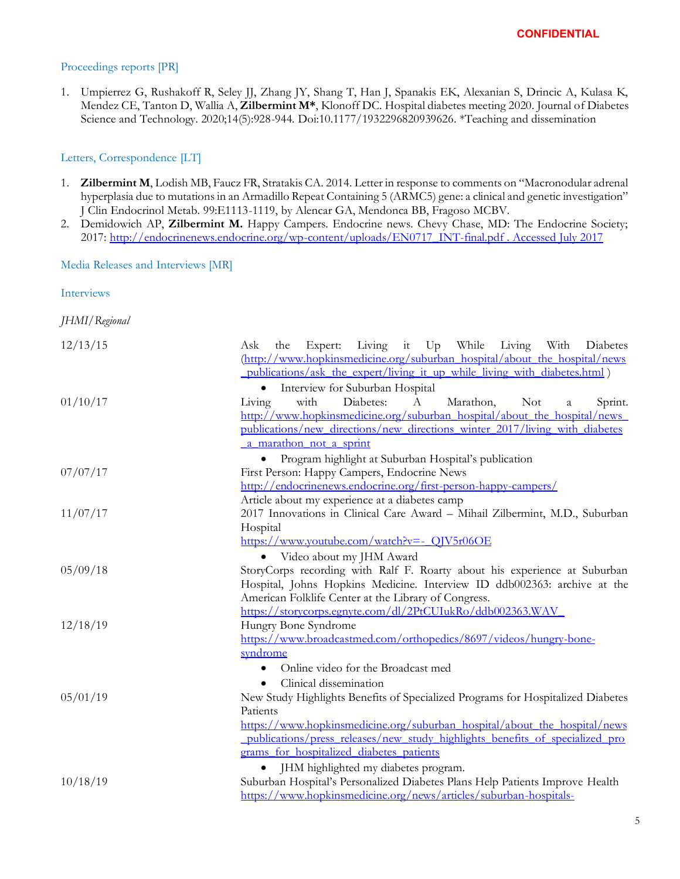## Proceedings reports [PR]

1. Umpierrez G, Rushakoff R, Seley JJ, Zhang JY, Shang T, Han J, Spanakis EK, Alexanian S, Drincic A, Kulasa K, Mendez CE, Tanton D, Wallia A, **Zilbermint M\***, Klonoff DC. Hospital diabetes meeting 2020. Journal of Diabetes Science and Technology. 2020;14(5):928-944. Doi:10.1177/1932296820939626. \*Teaching and dissemination

## Letters, Correspondence [LT]

- 1. **Zilbermint M**, Lodish MB, Faucz FR, Stratakis CA. 2014. Letter in response to comments on "Macronodular adrenal hyperplasia due to mutations in an Armadillo Repeat Containing 5 (ARMC5) gene: a clinical and genetic investigation" J Clin Endocrinol Metab. 99:E1113-1119, by Alencar GA, Mendonca BB, Fragoso MCBV.
- 2. Demidowich AP, **Zilbermint M.** Happy Campers. Endocrine news. Chevy Chase, MD: The Endocrine Society; 2017: [http://endocrinenews.endocrine.org/wp-content/uploads/EN0717\\_INT-final.pdf . Accessed July 2017](http://endocrinenews.endocrine.org/wp-content/uploads/EN0717_INT-final.pdf%20.%20Accessed%20July%202017)

Media Releases and Interviews [MR]

Interviews

*JHMI/Regional*

| 12/13/15 | Living it Up While Living With<br>Expert:<br>Diabetes<br>Ask<br>the             |
|----------|---------------------------------------------------------------------------------|
|          | (http://www.hopkinsmedicine.org/suburban_hospital/about_the_hospital/news       |
|          | publications/ask the expert/living it up while living with diabetes.html)       |
|          | Interview for Suburban Hospital                                                 |
| 01/10/17 | with<br>Diabetes:<br>Marathon,<br><b>Not</b><br>Living<br>A<br>Sprint.<br>a     |
|          | http://www.hopkinsmedicine.org/suburban_hospital/about_the_hospital/news_       |
|          | publications/new directions/new directions winter 2017/living with diabetes     |
|          | a marathon not a sprint                                                         |
|          | Program highlight at Suburban Hospital's publication                            |
| 07/07/17 | First Person: Happy Campers, Endocrine News                                     |
|          | http://endocrinenews.endocrine.org/first-person-happy-campers/                  |
|          | Article about my experience at a diabetes camp                                  |
| 11/07/17 | 2017 Innovations in Clinical Care Award - Mihail Zilbermint, M.D., Suburban     |
|          | Hospital                                                                        |
|          | https://www.youtube.com/watch?v=- QJV5r06OE                                     |
|          | Video about my JHM Award                                                        |
| 05/09/18 | StoryCorps recording with Ralf F. Roarty about his experience at Suburban       |
|          | Hospital, Johns Hopkins Medicine. Interview ID ddb002363: archive at the        |
|          | American Folklife Center at the Library of Congress.                            |
|          | https://storycorps.egnyte.com/dl/2PtCUIukRo/ddb002363.WAV                       |
| 12/18/19 | Hungry Bone Syndrome                                                            |
|          | https://www.broadcastmed.com/orthopedics/8697/videos/hungry-bone-               |
|          | syndrome                                                                        |
|          | Online video for the Broadcast med                                              |
|          | Clinical dissemination                                                          |
| 05/01/19 | New Study Highlights Benefits of Specialized Programs for Hospitalized Diabetes |
|          | Patients                                                                        |
|          | https://www.hopkinsmedicine.org/suburban_hospital/about_the_hospital/news       |
|          | publications/press releases/new study highlights benefits of specialized pro    |
|          | grams for hospitalized diabetes patients                                        |
|          | JHM highlighted my diabetes program.                                            |
| 10/18/19 | Suburban Hospital's Personalized Diabetes Plans Help Patients Improve Health    |
|          | https://www.hopkinsmedicine.org/news/articles/suburban-hospitals-               |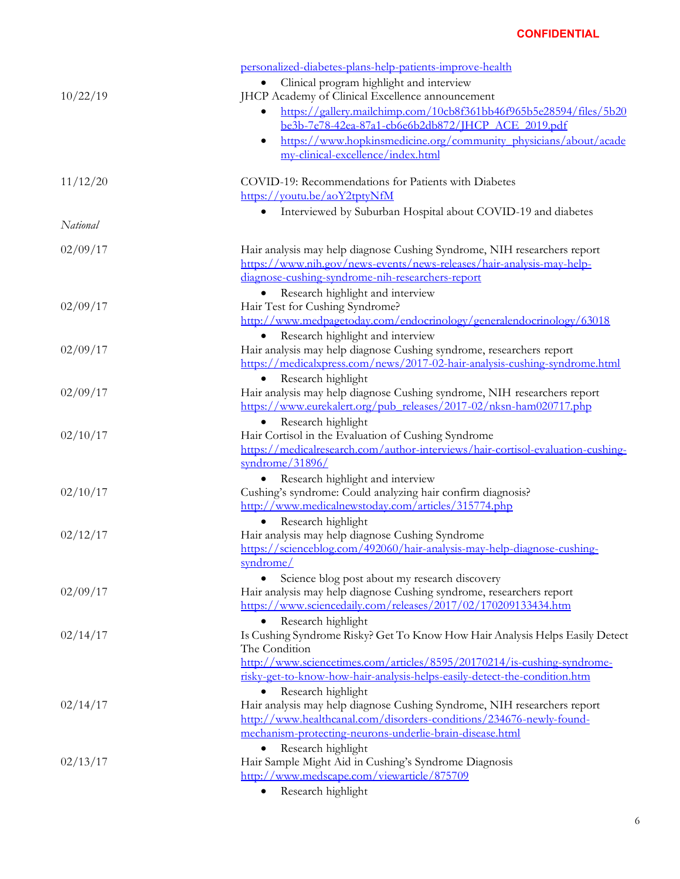|          | personalized-diabetes-plans-help-patients-improve-health                                                                                           |
|----------|----------------------------------------------------------------------------------------------------------------------------------------------------|
|          | Clinical program highlight and interview                                                                                                           |
| 10/22/19 | JHCP Academy of Clinical Excellence announcement                                                                                                   |
|          | https://gallery.mailchimp.com/10cb8f361bb46f965b5e28594/files/5b20<br>be3b-7e78-42ea-87a1-cb6e6b2db872/JHCP ACE 2019.pdf                           |
|          | https://www.hopkinsmedicine.org/community_physicians/about/acade<br>$\bullet$                                                                      |
|          | my-clinical-excellence/index.html                                                                                                                  |
| 11/12/20 | COVID-19: Recommendations for Patients with Diabetes                                                                                               |
|          | https://youtu.be/aoY2tptyNfM                                                                                                                       |
|          | Interviewed by Suburban Hospital about COVID-19 and diabetes                                                                                       |
| National |                                                                                                                                                    |
| 02/09/17 | Hair analysis may help diagnose Cushing Syndrome, NIH researchers report                                                                           |
|          | https://www.nih.gov/news-events/news-releases/hair-analysis-may-help-                                                                              |
|          | diagnose-cushing-syndrome-nih-researchers-report                                                                                                   |
|          | Research highlight and interview                                                                                                                   |
| 02/09/17 | Hair Test for Cushing Syndrome?                                                                                                                    |
|          | http://www.medpagetoday.com/endocrinology/generalendocrinology/63018                                                                               |
|          | Research highlight and interview                                                                                                                   |
| 02/09/17 | Hair analysis may help diagnose Cushing syndrome, researchers report<br>https://medicalxpress.com/news/2017-02-hair-analysis-cushing-syndrome.html |
|          | Research highlight<br>$\bullet$                                                                                                                    |
| 02/09/17 | Hair analysis may help diagnose Cushing syndrome, NIH researchers report                                                                           |
|          | https://www.eurekalert.org/pub_releases/2017-02/nksn-ham020717.php                                                                                 |
|          | Research highlight                                                                                                                                 |
| 02/10/17 | Hair Cortisol in the Evaluation of Cushing Syndrome                                                                                                |
|          | https://medicalresearch.com/author-interviews/hair-cortisol-evaluation-cushing-                                                                    |
|          | syndrome/31896/                                                                                                                                    |
|          | Research highlight and interview                                                                                                                   |
| 02/10/17 | Cushing's syndrome: Could analyzing hair confirm diagnosis?                                                                                        |
|          | http://www.medicalnewstoday.com/articles/315774.php<br>Research highlight                                                                          |
| 02/12/17 | Hair analysis may help diagnose Cushing Syndrome                                                                                                   |
|          | https://scienceblog.com/492060/hair-analysis-may-help-diagnose-cushing-                                                                            |
|          | syndrome/                                                                                                                                          |
|          | Science blog post about my research discovery                                                                                                      |
| 02/09/17 | Hair analysis may help diagnose Cushing syndrome, researchers report                                                                               |
|          | https://www.sciencedaily.com/releases/2017/02/170209133434.htm                                                                                     |
|          | Research highlight                                                                                                                                 |
| 02/14/17 | Is Cushing Syndrome Risky? Get To Know How Hair Analysis Helps Easily Detect                                                                       |
|          | The Condition<br>http://www.sciencetimes.com/articles/8595/20170214/is-cushing-syndrome-                                                           |
|          | risky-get-to-know-how-hair-analysis-helps-easily-detect-the-condition.htm                                                                          |
|          | Research highlight                                                                                                                                 |
| 02/14/17 | Hair analysis may help diagnose Cushing Syndrome, NIH researchers report                                                                           |
|          | http://www.healthcanal.com/disorders-conditions/234676-newly-found-                                                                                |
|          | mechanism-protecting-neurons-underlie-brain-disease.html                                                                                           |
|          | Research highlight                                                                                                                                 |
| 02/13/17 | Hair Sample Might Aid in Cushing's Syndrome Diagnosis                                                                                              |
|          | http://www.medscape.com/viewarticle/875709<br>$n = 11111$                                                                                          |
|          |                                                                                                                                                    |

• Research highlight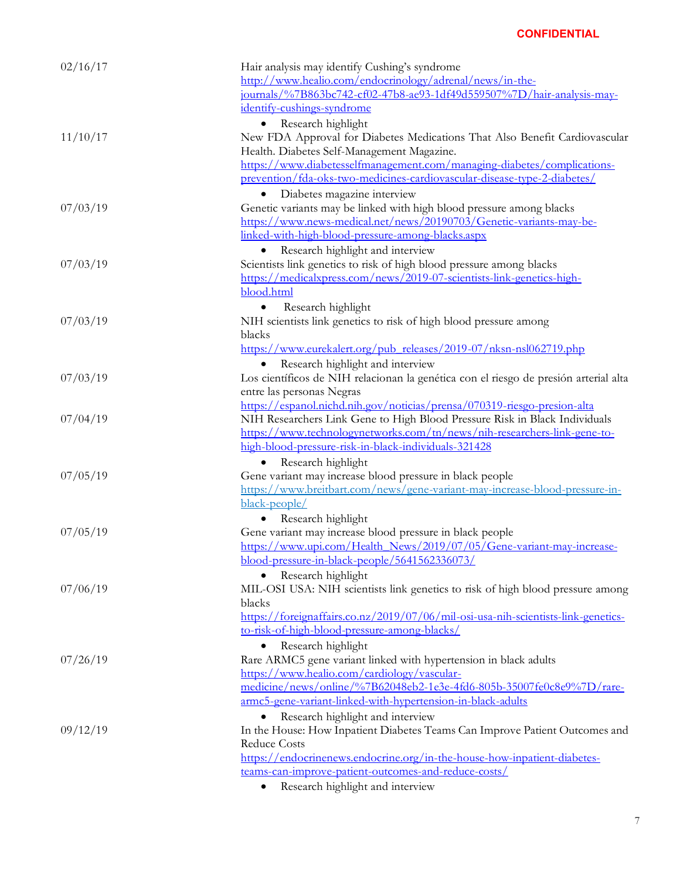| 02/16/17 | Hair analysis may identify Cushing's syndrome<br>http://www.healio.com/endocrinology/adrenal/news/in-the-                               |
|----------|-----------------------------------------------------------------------------------------------------------------------------------------|
|          | journals/%7B863bc742-cf02-47b8-ae93-1df49d559507%7D/hair-analysis-may-<br>identify-cushings-syndrome                                    |
|          | Research highlight                                                                                                                      |
| 11/10/17 | New FDA Approval for Diabetes Medications That Also Benefit Cardiovascular<br>Health. Diabetes Self-Management Magazine.                |
|          | https://www.diabetesselfmanagement.com/managing-diabetes/complications-                                                                 |
|          | prevention/fda-oks-two-medicines-cardiovascular-disease-type-2-diabetes/                                                                |
| 07/03/19 | Diabetes magazine interview<br>Genetic variants may be linked with high blood pressure among blacks                                     |
|          | https://www.news-medical.net/news/20190703/Genetic-variants-may-be-                                                                     |
|          | linked-with-high-blood-pressure-among-blacks.aspx                                                                                       |
|          | Research highlight and interview                                                                                                        |
| 07/03/19 | Scientists link genetics to risk of high blood pressure among blacks                                                                    |
|          | https://medicalxpress.com/news/2019-07-scientists-link-genetics-high-                                                                   |
|          | blood.html                                                                                                                              |
|          | Research highlight<br>$\bullet$                                                                                                         |
| 07/03/19 | NIH scientists link genetics to risk of high blood pressure among                                                                       |
|          | blacks<br>https://www.eurekalert.org/pub_releases/2019-07/nksn-nsl062719.php                                                            |
|          | Research highlight and interview                                                                                                        |
| 07/03/19 | Los científicos de NIH relacionan la genética con el riesgo de presión arterial alta                                                    |
|          | entre las personas Negras                                                                                                               |
|          | https://espanol.nichd.nih.gov/noticias/prensa/070319-riesgo-presion-alta                                                                |
| 07/04/19 | NIH Researchers Link Gene to High Blood Pressure Risk in Black Individuals                                                              |
|          | https://www.technologynetworks.com/tn/news/nih-researchers-link-gene-to-                                                                |
|          | high-blood-pressure-risk-in-black-individuals-321428                                                                                    |
|          | Research highlight                                                                                                                      |
| 07/05/19 | Gene variant may increase blood pressure in black people<br>https://www.breitbart.com/news/gene-variant-may-increase-blood-pressure-in- |
|          | black-people/                                                                                                                           |
|          | Research highlight                                                                                                                      |
| 07/05/19 | Gene variant may increase blood pressure in black people                                                                                |
|          | https://www.upi.com/Health_News/2019/07/05/Gene-variant-may-increase-                                                                   |
|          | blood-pressure-in-black-people/5641562336073/                                                                                           |
|          | Research highlight                                                                                                                      |
| 07/06/19 | MIL-OSI USA: NIH scientists link genetics to risk of high blood pressure among                                                          |
|          | blacks<br>https://foreignaffairs.co.nz/2019/07/06/mil-osi-usa-nih-scientists-link-genetics-                                             |
|          | to-risk-of-high-blood-pressure-among-blacks/                                                                                            |
|          | Research highlight                                                                                                                      |
| 07/26/19 | Rare ARMC5 gene variant linked with hypertension in black adults                                                                        |
|          | https://www.healio.com/cardiology/vascular-                                                                                             |
|          | medicine/news/online/%7B62048eb2-1e3e-4fd6-805b-35007fe0c8e9%7D/rare-                                                                   |
|          | armc5-gene-variant-linked-with-hypertension-in-black-adults                                                                             |
|          | Research highlight and interview                                                                                                        |
| 09/12/19 | In the House: How Inpatient Diabetes Teams Can Improve Patient Outcomes and                                                             |
|          | <b>Reduce Costs</b>                                                                                                                     |
|          | https://endocrinenews.endocrine.org/in-the-house-how-inpatient-diabetes-<br>teams-can-improve-patient-outcomes-and-reduce-costs/        |
|          | Research highlight and interview<br>٠                                                                                                   |
|          |                                                                                                                                         |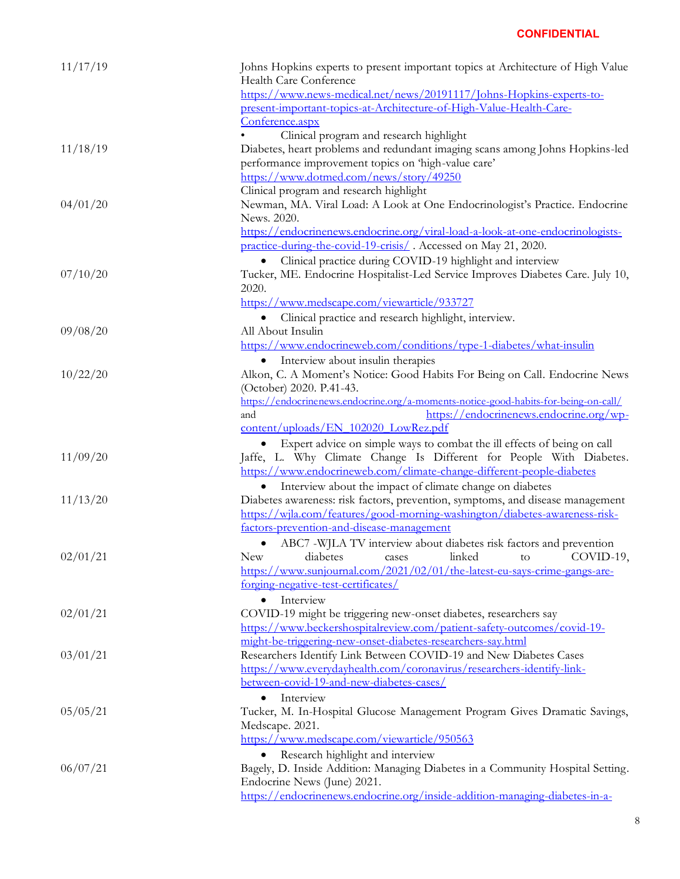| 11/17/19 | Johns Hopkins experts to present important topics at Architecture of High Value<br>Health Care Conference                                   |
|----------|---------------------------------------------------------------------------------------------------------------------------------------------|
|          | https://www.news-medical.net/news/20191117/Johns-Hopkins-experts-to-<br>present-important-topics-at-Architecture-of-High-Value-Health-Care- |
|          | Conference.aspx                                                                                                                             |
|          | Clinical program and research highlight                                                                                                     |
| 11/18/19 | Diabetes, heart problems and redundant imaging scans among Johns Hopkins-led                                                                |
|          | performance improvement topics on 'high-value care'                                                                                         |
|          | https://www.dotmed.com/news/story/49250                                                                                                     |
|          | Clinical program and research highlight                                                                                                     |
| 04/01/20 | Newman, MA. Viral Load: A Look at One Endocrinologist's Practice. Endocrine<br>News. 2020.                                                  |
|          | https://endocrinenews.endocrine.org/viral-load-a-look-at-one-endocrinologists-                                                              |
|          | practice-during-the-covid-19-crisis/. Accessed on May 21, 2020.                                                                             |
|          | Clinical practice during COVID-19 highlight and interview                                                                                   |
| 07/10/20 | Tucker, ME. Endocrine Hospitalist-Led Service Improves Diabetes Care. July 10,                                                              |
|          | 2020.                                                                                                                                       |
|          | https://www.medscape.com/viewarticle/933727                                                                                                 |
|          | Clinical practice and research highlight, interview.                                                                                        |
| 09/08/20 | All About Insulin                                                                                                                           |
|          | https://www.endocrineweb.com/conditions/type-1-diabetes/what-insulin                                                                        |
|          | Interview about insulin therapies<br>$\bullet$                                                                                              |
| 10/22/20 | Alkon, C. A Moment's Notice: Good Habits For Being on Call. Endocrine News                                                                  |
|          | (October) 2020. P.41-43.                                                                                                                    |
|          | https://endocrinenews.endocrine.org/a-moments-notice-good-habits-for-being-on-call/                                                         |
|          | https://endocrinenews.endocrine.org/wp-<br>and                                                                                              |
|          | content/uploads/EN_102020_LowRez.pdf                                                                                                        |
|          | Expert advice on simple ways to combat the ill effects of being on call                                                                     |
| 11/09/20 | Jaffe, L. Why Climate Change Is Different for People With Diabetes.                                                                         |
|          | https://www.endocrineweb.com/climate-change-different-people-diabetes                                                                       |
| 11/13/20 | Interview about the impact of climate change on diabetes<br>Diabetes awareness: risk factors, prevention, symptoms, and disease management  |
|          | https://wjla.com/features/good-morning-washington/diabetes-awareness-risk-                                                                  |
|          | factors-prevention-and-disease-management                                                                                                   |
|          | ABC7 -WJLA TV interview about diabetes risk factors and prevention<br>$\bullet$                                                             |
| 02/01/21 | linked to<br>COVID-19,<br><b>New</b><br>diabetes<br>cases                                                                                   |
|          | https://www.sunjournal.com/2021/02/01/the-latest-eu-says-crime-gangs-are-                                                                   |
|          | forging-negative-test-certificates/                                                                                                         |
|          | Interview<br>$\bullet$                                                                                                                      |
| 02/01/21 | COVID-19 might be triggering new-onset diabetes, researchers say                                                                            |
|          | https://www.beckershospitalreview.com/patient-safety-outcomes/covid-19-                                                                     |
|          | might-be-triggering-new-onset-diabetes-researchers-say.html                                                                                 |
| 03/01/21 | Researchers Identify Link Between COVID-19 and New Diabetes Cases                                                                           |
|          | https://www.everydayhealth.com/coronavirus/researchers-identify-link-                                                                       |
|          | between-covid-19-and-new-diabetes-cases/<br>Interview                                                                                       |
| 05/05/21 |                                                                                                                                             |
|          | Tucker, M. In-Hospital Glucose Management Program Gives Dramatic Savings,<br>Medscape. 2021.                                                |
|          | https://www.medscape.com/viewarticle/950563                                                                                                 |
|          | Research highlight and interview                                                                                                            |
| 06/07/21 | Bagely, D. Inside Addition: Managing Diabetes in a Community Hospital Setting.                                                              |
|          | Endocrine News (June) 2021.                                                                                                                 |
|          | https://endocrinenews.endocrine.org/inside-addition-managing-diabetes-in-a-                                                                 |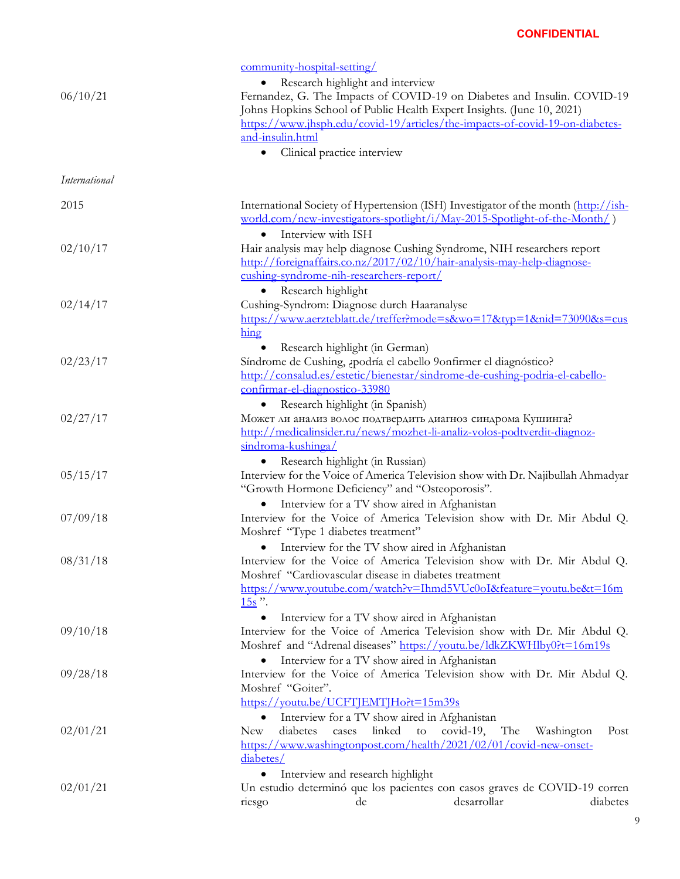| 06/10/21             | community-hospital-setting/<br>Research highlight and interview                    | Fernandez, G. The Impacts of COVID-19 on Diabetes and Insulin. COVID-19<br>Johns Hopkins School of Public Health Expert Insights. (June 10, 2021)                                                |          |
|----------------------|------------------------------------------------------------------------------------|--------------------------------------------------------------------------------------------------------------------------------------------------------------------------------------------------|----------|
|                      | and-insulin.html<br>Clinical practice interview                                    | https://www.jhsph.edu/covid-19/articles/the-impacts-of-covid-19-on-diabetes-                                                                                                                     |          |
| <b>International</b> |                                                                                    |                                                                                                                                                                                                  |          |
| 2015                 | Interview with ISH                                                                 | International Society of Hypertension (ISH) Investigator of the month (http://ish-<br>world.com/new-investigators-spotlight/i/May-2015-Spotlight-of-the-Month/)                                  |          |
| 02/10/17             | $\bullet$<br>cushing-syndrome-nih-researchers-report/                              | Hair analysis may help diagnose Cushing Syndrome, NIH researchers report<br>http://foreignaffairs.co.nz/2017/02/10/hair-analysis-may-help-diagnose-                                              |          |
| 02/14/17             | Research highlight<br>Cushing-Syndrom: Diagnose durch Haaranalyse<br>hing          | https://www.aerzteblatt.de/treffer?mode=s&wo=17&typ=1&nid=73090&s=cus                                                                                                                            |          |
| 02/23/17             | Research highlight (in German)<br>confirmar-el-diagnostico-33980                   | Síndrome de Cushing, ¿podría el cabello 9onfirmer el diagnóstico?<br>http://consalud.es/estetic/bienestar/sindrome-de-cushing-podria-el-cabello-                                                 |          |
| 02/27/17             | Research highlight (in Spanish)<br>sindroma-kushinga/                              | Может ли анализ волос подтвердить диагноз синдрома Кушинга?<br>http://medicalinsider.ru/news/mozhet-li-analiz-volos-podtverdit-diagnoz-                                                          |          |
| 05/15/17             | Research highlight (in Russian)<br>"Growth Hormone Deficiency" and "Osteoporosis". | Interview for the Voice of America Television show with Dr. Najibullah Ahmadyar                                                                                                                  |          |
| 07/09/18             | $\bullet$<br>Moshref "Type 1 diabetes treatment"                                   | Interview for a TV show aired in Afghanistan<br>Interview for the Voice of America Television show with Dr. Mir Abdul Q.                                                                         |          |
| 08/31/18             | $\bullet$<br>Moshref "Cardiovascular disease in diabetes treatment<br>$15s$ ".     | Interview for the TV show aired in Afghanistan<br>Interview for the Voice of America Television show with Dr. Mir Abdul Q.<br>https://www.youtube.com/watch?v=Ihmd5VUc0oI&feature=youtu.be&t=16m |          |
| 09/10/18             |                                                                                    | Interview for a TV show aired in Afghanistan<br>Interview for the Voice of America Television show with Dr. Mir Abdul Q.<br>Moshref and "Adrenal diseases" https://voutu.be/ldkZKWHlby0?t=16m19s |          |
| 09/28/18             | $\bullet$<br>Moshref "Goiter".<br>https://youtu.be/UCFTJEMTJHo?t=15m39s            | Interview for a TV show aired in Afghanistan<br>Interview for the Voice of America Television show with Dr. Mir Abdul Q.                                                                         |          |
| 02/01/21             | $\bullet$<br>diabetes<br><b>New</b><br>cases<br>diabetes/                          | Interview for a TV show aired in Afghanistan<br>linked<br>covid-19, The<br>to<br>Washington<br>https://www.washingtonpost.com/health/2021/02/01/covid-new-onset-                                 | Post     |
| 02/01/21             | Interview and research highlight<br>de<br>riesgo                                   | Un estudio determinó que los pacientes con casos graves de COVID-19 corren<br>desarrollar                                                                                                        | diabetes |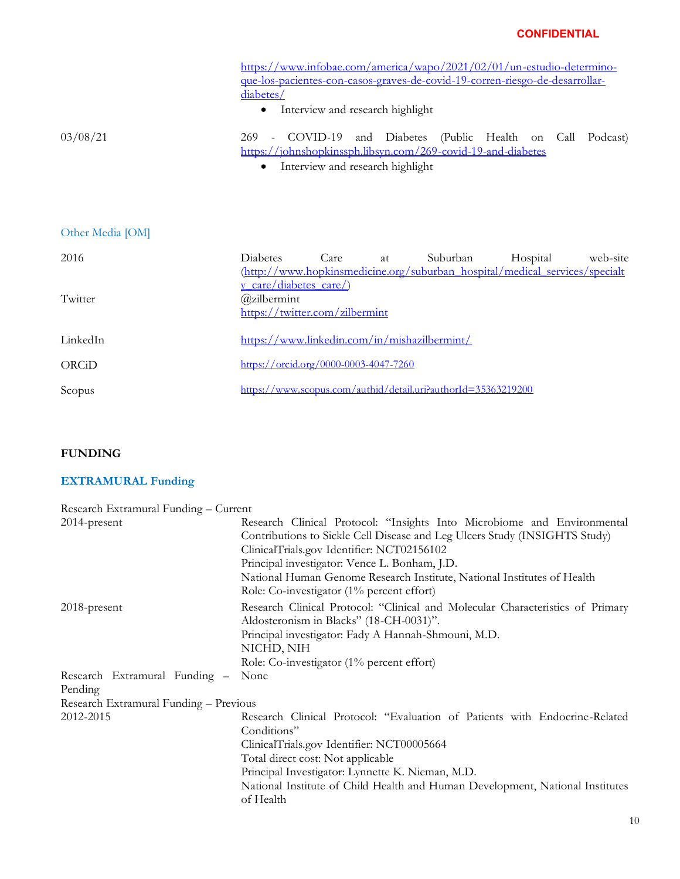|                  | https://www.infobae.com/america/wapo/2021/02/01/un-estudio-determino-<br>que-los-pacientes-con-casos-graves-de-covid-19-corren-nesgo-de-desarrollar-<br>diabetes/                 |
|------------------|-----------------------------------------------------------------------------------------------------------------------------------------------------------------------------------|
|                  | Interview and research highlight                                                                                                                                                  |
| 03/08/21         | COVID-19 and Diabetes (Public Health on Call<br>Podcast)<br>269<br>https://johnshopkinssph.libsyn.com/269-covid-19-and-diabetes<br>Interview and research highlight<br>$\bullet$  |
| Other Media [OM] |                                                                                                                                                                                   |
| 2016             | <b>Diabetes</b><br>Care<br>Suburban<br>Hospital<br>web-site<br>at<br>(http://www.hopkinsmedicine.org/suburban_hospital/medical_services/specialt<br><u>y care/diabetes care/)</u> |
| Twitter          | @zilbermint<br>https://twitter.com/zilbermint                                                                                                                                     |
| LinkedIn         | https://www.linkedin.com/in/mishazilbermint/                                                                                                                                      |
| ORCiD            | https://orcid.org/0000-0003-4047-7260                                                                                                                                             |
| Scopus           | https://www.scopus.com/authid/detail.uri?authorId=35363219200                                                                                                                     |

# **FUNDING**

# **EXTRAMURAL Funding**

| Research Extramural Funding - Current  |                                                                                                                                                                                                                                                                                                                                                                                 |
|----------------------------------------|---------------------------------------------------------------------------------------------------------------------------------------------------------------------------------------------------------------------------------------------------------------------------------------------------------------------------------------------------------------------------------|
| 2014-present                           | Research Clinical Protocol: "Insights Into Microbiome and Environmental<br>Contributions to Sickle Cell Disease and Leg Ulcers Study (INSIGHTS Study)<br>ClinicalTrials.gov Identifier: NCT02156102<br>Principal investigator: Vence L. Bonham, J.D.<br>National Human Genome Research Institute, National Institutes of Health<br>Role: Co-investigator $(1\%$ percent effort) |
| 2018-present                           | Research Clinical Protocol: "Clinical and Molecular Characteristics of Primary<br>Aldosteronism in Blacks" (18-CH-0031)".<br>Principal investigator: Fady A Hannah-Shmouni, M.D.<br>NICHD, NIH<br>Role: Co-investigator $(1\%$ percent effort)                                                                                                                                  |
| Research Extramural Funding -          | None                                                                                                                                                                                                                                                                                                                                                                            |
| Pending                                |                                                                                                                                                                                                                                                                                                                                                                                 |
| Research Extramural Funding - Previous |                                                                                                                                                                                                                                                                                                                                                                                 |
| 2012-2015                              | Research Clinical Protocol: "Evaluation of Patients with Endocrine-Related<br>Conditions"<br>ClinicalTrials.gov Identifier: NCT00005664<br>Total direct cost: Not applicable<br>Principal Investigator: Lynnette K. Nieman, M.D.<br>National Institute of Child Health and Human Development, National Institutes<br>of Health                                                  |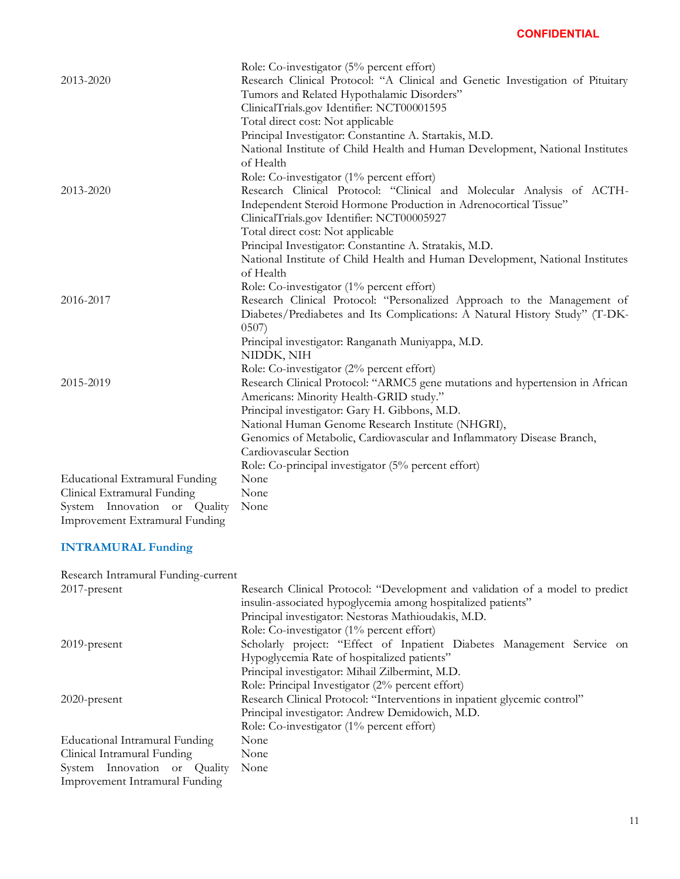|                                       | Role: Co-investigator $(5\%$ percent effort)                                   |
|---------------------------------------|--------------------------------------------------------------------------------|
| 2013-2020                             | Research Clinical Protocol: "A Clinical and Genetic Investigation of Pituitary |
|                                       | Tumors and Related Hypothalamic Disorders"                                     |
|                                       | ClinicalTrials.gov Identifier: NCT00001595                                     |
|                                       | Total direct cost: Not applicable                                              |
|                                       | Principal Investigator: Constantine A. Startakis, M.D.                         |
|                                       | National Institute of Child Health and Human Development, National Institutes  |
|                                       | of Health                                                                      |
|                                       | Role: Co-investigator (1% percent effort)                                      |
| 2013-2020                             | Research Clinical Protocol: "Clinical and Molecular Analysis of ACTH-          |
|                                       | Independent Steroid Hormone Production in Adrenocortical Tissue"               |
|                                       | ClinicalTrials.gov Identifier: NCT00005927                                     |
|                                       | Total direct cost: Not applicable                                              |
|                                       | Principal Investigator: Constantine A. Stratakis, M.D.                         |
|                                       | National Institute of Child Health and Human Development, National Institutes  |
|                                       | of Health                                                                      |
|                                       | Role: Co-investigator (1% percent effort)                                      |
| 2016-2017                             | Research Clinical Protocol: "Personalized Approach to the Management of        |
|                                       | Diabetes/Prediabetes and Its Complications: A Natural History Study" (T-DK-    |
|                                       | 0507                                                                           |
|                                       | Principal investigator: Ranganath Muniyappa, M.D.                              |
|                                       | NIDDK, NIH                                                                     |
|                                       | Role: Co-investigator (2% percent effort)                                      |
| 2015-2019                             | Research Clinical Protocol: "ARMC5 gene mutations and hypertension in African  |
|                                       | Americans: Minority Health-GRID study."                                        |
|                                       | Principal investigator: Gary H. Gibbons, M.D.                                  |
|                                       | National Human Genome Research Institute (NHGRI),                              |
|                                       | Genomics of Metabolic, Cardiovascular and Inflammatory Disease Branch,         |
|                                       | Cardiovascular Section                                                         |
|                                       | Role: Co-principal investigator (5% percent effort)                            |
| <b>Educational Extramural Funding</b> | None                                                                           |
| Clinical Extramural Funding           | None                                                                           |
| System Innovation or Quality          | None                                                                           |
| Improvement Extramural Funding        |                                                                                |

#### **INTRAMURAL Funding**

Research Intramural Funding-current 2017-present Research Clinical Protocol: "Development and validation of a model to predict insulin-associated hypoglycemia among hospitalized patients" Principal investigator: Nestoras Mathioudakis, M.D. Role: Co-investigator (1% percent effort) 2019-present Scholarly project: "Effect of Inpatient Diabetes Management Service on Hypoglycemia Rate of hospitalized patients" Principal investigator: Mihail Zilbermint, M.D. Role: Principal Investigator (2% percent effort) 2020-present Research Clinical Protocol: "Interventions in inpatient glycemic control" Principal investigator: Andrew Demidowich, M.D. Role: Co-investigator (1% percent effort) Educational Intramural Funding None Clinical Intramural Funding None System Innovation or Quality Improvement Intramural Funding None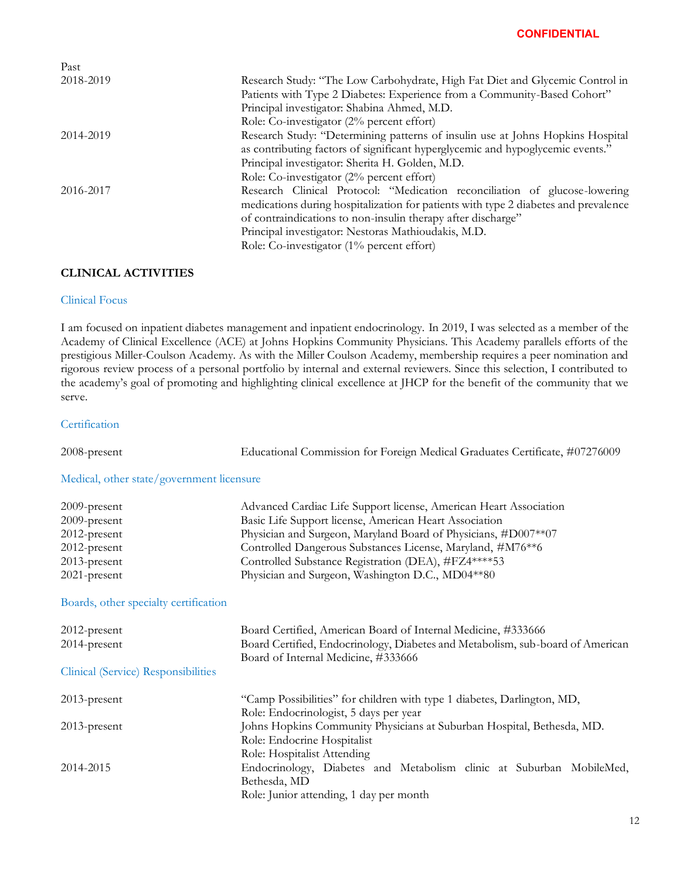| Past      |                                                                                     |
|-----------|-------------------------------------------------------------------------------------|
| 2018-2019 | Research Study: "The Low Carbohydrate, High Fat Diet and Glycemic Control in        |
|           | Patients with Type 2 Diabetes: Experience from a Community-Based Cohort"            |
|           | Principal investigator: Shabina Ahmed, M.D.                                         |
|           | Role: Co-investigator $(2\%$ percent effort)                                        |
| 2014-2019 | Research Study: "Determining patterns of insulin use at Johns Hopkins Hospital      |
|           | as contributing factors of significant hyperglycemic and hypoglycemic events."      |
|           | Principal investigator: Sherita H. Golden, M.D.                                     |
|           | Role: Co-investigator (2% percent effort)                                           |
| 2016-2017 | Research Clinical Protocol: "Medication reconciliation of glucose-lowering          |
|           | medications during hospitalization for patients with type 2 diabetes and prevalence |
|           | of contraindications to non-insulin therapy after discharge"                        |
|           | Principal investigator: Nestoras Mathioudakis, M.D.                                 |
|           | Role: Co-investigator (1% percent effort)                                           |

## **CLINICAL ACTIVITIES**

## Clinical Focus

I am focused on inpatient diabetes management and inpatient endocrinology. In 2019, I was selected as a member of the Academy of Clinical Excellence (ACE) at Johns Hopkins Community Physicians. This Academy parallels efforts of the prestigious Miller-Coulson Academy. As with the Miller Coulson Academy, membership requires a peer nomination and rigorous review process of a personal portfolio by internal and external reviewers. Since this selection, I contributed to the academy's goal of promoting and highlighting clinical excellence at JHCP for the benefit of the community that we serve.

#### **Certification**

| 2008-present                              | Educational Commission for Foreign Medical Graduates Certificate, #07276009    |
|-------------------------------------------|--------------------------------------------------------------------------------|
| Medical, other state/government licensure |                                                                                |
| 2009-present                              | Advanced Cardiac Life Support license, American Heart Association              |
| 2009-present                              | Basic Life Support license, American Heart Association                         |
| 2012-present                              | Physician and Surgeon, Maryland Board of Physicians, #D007**07                 |
| 2012-present                              | Controlled Dangerous Substances License, Maryland, #M76**6                     |
| 2013-present                              | Controlled Substance Registration (DEA), #FZ4****53                            |
| 2021-present                              | Physician and Surgeon, Washington D.C., MD04**80                               |
| Boards, other specialty certification     |                                                                                |
| 2012-present                              | Board Certified, American Board of Internal Medicine, #333666                  |
| 2014-present                              | Board Certified, Endocrinology, Diabetes and Metabolism, sub-board of American |
| Clinical (Service) Responsibilities       | Board of Internal Medicine, #333666                                            |
| 2013-present                              | "Camp Possibilities" for children with type 1 diabetes, Darlington, MD,        |
|                                           | Role: Endocrinologist, 5 days per year                                         |
| 2013-present                              | Johns Hopkins Community Physicians at Suburban Hospital, Bethesda, MD.         |
|                                           | Role: Endocrine Hospitalist                                                    |
|                                           | Role: Hospitalist Attending                                                    |
| 2014-2015                                 | Endocrinology, Diabetes and Metabolism clinic at Suburban MobileMed,           |
|                                           | Bethesda, MD                                                                   |

Role: Junior attending, 1 day per month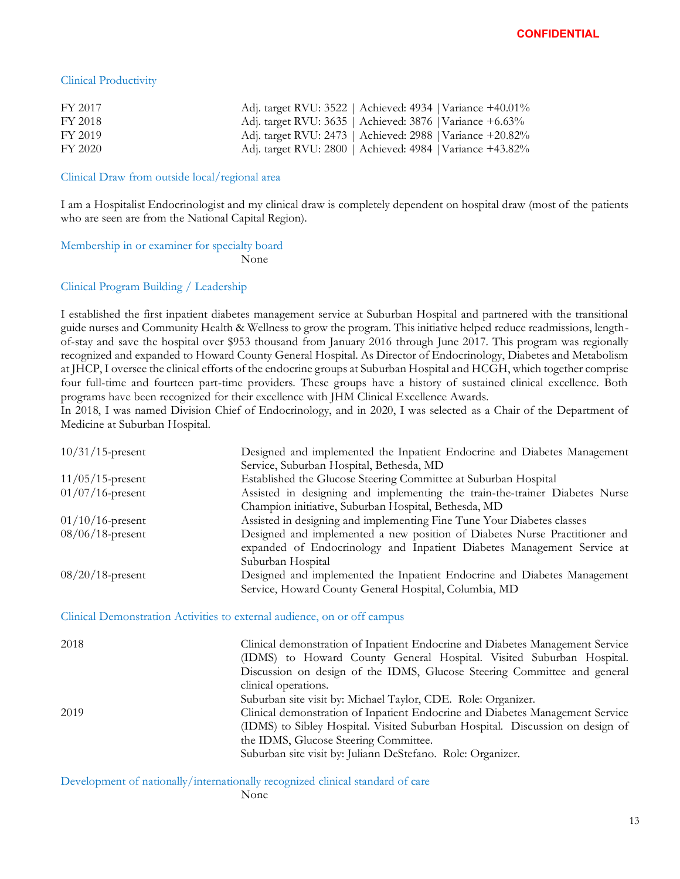### Clinical Productivity

| FY 2017 | Adj. target RVU: 3522   Achieved: 4934   Variance +40.01% |
|---------|-----------------------------------------------------------|
| FY 2018 | Adj. target RVU: 3635   Achieved: 3876   Variance +6.63%  |
| FY 2019 | Adj. target RVU: 2473   Achieved: 2988   Variance +20.82% |
| FY 2020 | Adj. target RVU: 2800   Achieved: 4984   Variance +43.82% |

#### Clinical Draw from outside local/regional area

I am a Hospitalist Endocrinologist and my clinical draw is completely dependent on hospital draw (most of the patients who are seen are from the National Capital Region).

Membership in or examiner for specialty board

None

#### Clinical Program Building / Leadership

I established the first inpatient diabetes management service at Suburban Hospital and partnered with the transitional guide nurses and Community Health & Wellness to grow the program. This initiative helped reduce readmissions, lengthof-stay and save the hospital over \$953 thousand from January 2016 through June 2017. This program was regionally recognized and expanded to Howard County General Hospital. As Director of Endocrinology, Diabetes and Metabolism at JHCP, I oversee the clinical efforts of the endocrine groups at Suburban Hospital and HCGH, which together comprise four full-time and fourteen part-time providers. These groups have a history of sustained clinical excellence. Both programs have been recognized for their excellence with JHM Clinical Excellence Awards.

In 2018, I was named Division Chief of Endocrinology, and in 2020, I was selected as a Chair of the Department of Medicine at Suburban Hospital.

| $10/31/15$ -present | Designed and implemented the Inpatient Endocrine and Diabetes Management    |
|---------------------|-----------------------------------------------------------------------------|
|                     | Service, Suburban Hospital, Bethesda, MD                                    |
| $11/05/15$ -present | Established the Glucose Steering Committee at Suburban Hospital             |
| $01/07/16$ -present | Assisted in designing and implementing the train-the-trainer Diabetes Nurse |
|                     | Champion initiative, Suburban Hospital, Bethesda, MD                        |
| $01/10/16$ -present | Assisted in designing and implementing Fine Tune Your Diabetes classes      |
| $08/06/18$ -present | Designed and implemented a new position of Diabetes Nurse Practitioner and  |
|                     | expanded of Endocrinology and Inpatient Diabetes Management Service at      |
|                     | Suburban Hospital                                                           |
| $08/20/18$ -present | Designed and implemented the Inpatient Endocrine and Diabetes Management    |
|                     | Service, Howard County General Hospital, Columbia, MD                       |

Clinical Demonstration Activities to external audience, on or off campus

| 2018 | Clinical demonstration of Inpatient Endocrine and Diabetes Management Service<br>(IDMS) to Howard County General Hospital. Visited Suburban Hospital.<br>Discussion on design of the IDMS, Glucose Steering Committee and general<br>clinical operations.                                                                               |
|------|-----------------------------------------------------------------------------------------------------------------------------------------------------------------------------------------------------------------------------------------------------------------------------------------------------------------------------------------|
| 2019 | Suburban site visit by: Michael Taylor, CDE. Role: Organizer.<br>Clinical demonstration of Inpatient Endocrine and Diabetes Management Service<br>(IDMS) to Sibley Hospital. Visited Suburban Hospital. Discussion on design of<br>the IDMS, Glucose Steering Committee.<br>Suburban site visit by: Juliann DeStefano. Role: Organizer. |

Development of nationally/internationally recognized clinical standard of care None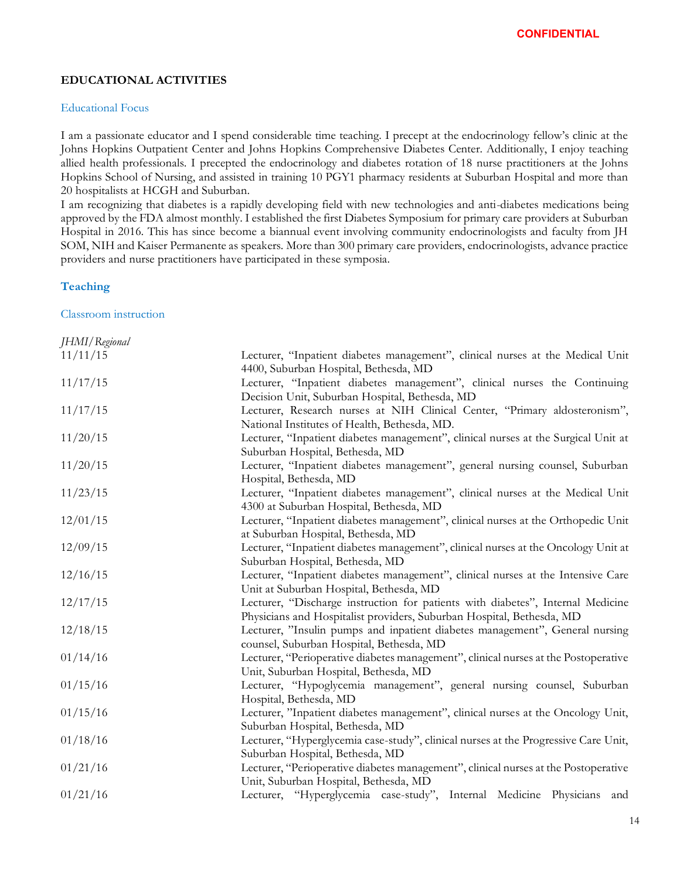## **EDUCATIONAL ACTIVITIES**

#### Educational Focus

I am a passionate educator and I spend considerable time teaching. I precept at the endocrinology fellow's clinic at the Johns Hopkins Outpatient Center and Johns Hopkins Comprehensive Diabetes Center. Additionally, I enjoy teaching allied health professionals. I precepted the endocrinology and diabetes rotation of 18 nurse practitioners at the Johns Hopkins School of Nursing, and assisted in training 10 PGY1 pharmacy residents at Suburban Hospital and more than 20 hospitalists at HCGH and Suburban.

I am recognizing that diabetes is a rapidly developing field with new technologies and anti-diabetes medications being approved by the FDA almost monthly. I established the first Diabetes Symposium for primary care providers at Suburban Hospital in 2016. This has since become a biannual event involving community endocrinologists and faculty from JH SOM, NIH and Kaiser Permanente as speakers. More than 300 primary care providers, endocrinologists, advance practice providers and nurse practitioners have participated in these symposia.

#### **Teaching**

Classroom instruction

| JHMI/Regional |                                                                                                                         |
|---------------|-------------------------------------------------------------------------------------------------------------------------|
| 11/11/15      | Lecturer, "Inpatient diabetes management", clinical nurses at the Medical Unit<br>4400, Suburban Hospital, Bethesda, MD |
| 11/17/15      | Lecturer, "Inpatient diabetes management", clinical nurses the Continuing                                               |
|               | Decision Unit, Suburban Hospital, Bethesda, MD                                                                          |
| 11/17/15      | Lecturer, Research nurses at NIH Clinical Center, "Primary aldosteronism",                                              |
|               | National Institutes of Health, Bethesda, MD.                                                                            |
| 11/20/15      | Lecturer, "Inpatient diabetes management", clinical nurses at the Surgical Unit at                                      |
|               | Suburban Hospital, Bethesda, MD                                                                                         |
| 11/20/15      | Lecturer, "Inpatient diabetes management", general nursing counsel, Suburban                                            |
|               | Hospital, Bethesda, MD                                                                                                  |
| 11/23/15      | Lecturer, "Inpatient diabetes management", clinical nurses at the Medical Unit                                          |
|               | 4300 at Suburban Hospital, Bethesda, MD                                                                                 |
| 12/01/15      | Lecturer, "Inpatient diabetes management", clinical nurses at the Orthopedic Unit                                       |
|               | at Suburban Hospital, Bethesda, MD                                                                                      |
| 12/09/15      | Lecturer, "Inpatient diabetes management", clinical nurses at the Oncology Unit at                                      |
|               | Suburban Hospital, Bethesda, MD                                                                                         |
| 12/16/15      | Lecturer, "Inpatient diabetes management", clinical nurses at the Intensive Care                                        |
|               | Unit at Suburban Hospital, Bethesda, MD                                                                                 |
| 12/17/15      | Lecturer, "Discharge instruction for patients with diabetes", Internal Medicine                                         |
|               | Physicians and Hospitalist providers, Suburban Hospital, Bethesda, MD                                                   |
| 12/18/15      | Lecturer, "Insulin pumps and inpatient diabetes management", General nursing                                            |
|               | counsel, Suburban Hospital, Bethesda, MD                                                                                |
| 01/14/16      | Lecturer, "Perioperative diabetes management", clinical nurses at the Postoperative                                     |
|               | Unit, Suburban Hospital, Bethesda, MD                                                                                   |
| 01/15/16      | Lecturer, "Hypoglycemia management", general nursing counsel, Suburban                                                  |
|               | Hospital, Bethesda, MD                                                                                                  |
| 01/15/16      | Lecturer, "Inpatient diabetes management", clinical nurses at the Oncology Unit,                                        |
|               | Suburban Hospital, Bethesda, MD                                                                                         |
| 01/18/16      | Lecturer, "Hyperglycemia case-study", clinical nurses at the Progressive Care Unit,                                     |
|               | Suburban Hospital, Bethesda, MD                                                                                         |
| 01/21/16      | Lecturer, "Perioperative diabetes management", clinical nurses at the Postoperative                                     |
|               | Unit, Suburban Hospital, Bethesda, MD                                                                                   |
| 01/21/16      | Lecturer, "Hyperglycemia case-study", Internal Medicine Physicians and                                                  |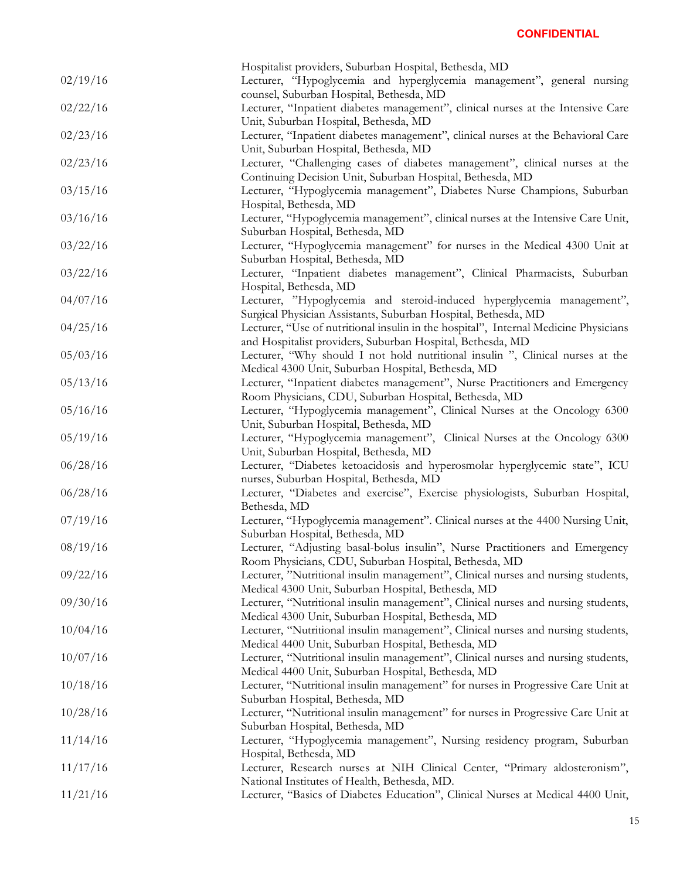|          | Hospitalist providers, Suburban Hospital, Bethesda, MD                               |
|----------|--------------------------------------------------------------------------------------|
| 02/19/16 | Lecturer, "Hypoglycemia and hyperglycemia management", general nursing               |
|          | counsel, Suburban Hospital, Bethesda, MD                                             |
| 02/22/16 | Lecturer, "Inpatient diabetes management", clinical nurses at the Intensive Care     |
|          | Unit, Suburban Hospital, Bethesda, MD                                                |
| 02/23/16 | Lecturer, "Inpatient diabetes management", clinical nurses at the Behavioral Care    |
|          | Unit, Suburban Hospital, Bethesda, MD                                                |
| 02/23/16 | Lecturer, "Challenging cases of diabetes management", clinical nurses at the         |
|          | Continuing Decision Unit, Suburban Hospital, Bethesda, MD                            |
| 03/15/16 | Lecturer, "Hypoglycemia management", Diabetes Nurse Champions, Suburban              |
|          |                                                                                      |
|          | Hospital, Bethesda, MD                                                               |
| 03/16/16 | Lecturer, "Hypoglycemia management", clinical nurses at the Intensive Care Unit,     |
|          | Suburban Hospital, Bethesda, MD                                                      |
| 03/22/16 | Lecturer, "Hypoglycemia management" for nurses in the Medical 4300 Unit at           |
|          | Suburban Hospital, Bethesda, MD                                                      |
| 03/22/16 | Lecturer, "Inpatient diabetes management", Clinical Pharmacists, Suburban            |
|          | Hospital, Bethesda, MD                                                               |
| 04/07/16 | Lecturer, "Hypoglycemia and steroid-induced hyperglycemia management",               |
|          | Surgical Physician Assistants, Suburban Hospital, Bethesda, MD                       |
| 04/25/16 | Lecturer, "Use of nutritional insulin in the hospital", Internal Medicine Physicians |
|          | and Hospitalist providers, Suburban Hospital, Bethesda, MD                           |
| 05/03/16 | Lecturer, "Why should I not hold nutritional insulin", Clinical nurses at the        |
|          | Medical 4300 Unit, Suburban Hospital, Bethesda, MD                                   |
| 05/13/16 | Lecturer, "Inpatient diabetes management", Nurse Practitioners and Emergency         |
|          | Room Physicians, CDU, Suburban Hospital, Bethesda, MD                                |
| 05/16/16 | Lecturer, "Hypoglycemia management", Clinical Nurses at the Oncology 6300            |
|          | Unit, Suburban Hospital, Bethesda, MD                                                |
| 05/19/16 | Lecturer, "Hypoglycemia management", Clinical Nurses at the Oncology 6300            |
|          | Unit, Suburban Hospital, Bethesda, MD                                                |
| 06/28/16 | Lecturer, "Diabetes ketoacidosis and hyperosmolar hyperglycemic state", ICU          |
|          | nurses, Suburban Hospital, Bethesda, MD                                              |
| 06/28/16 | Lecturer, "Diabetes and exercise", Exercise physiologists, Suburban Hospital,        |
|          | Bethesda, MD                                                                         |
| 07/19/16 | Lecturer, "Hypoglycemia management". Clinical nurses at the 4400 Nursing Unit,       |
|          | Suburban Hospital, Bethesda, MD                                                      |
| 08/19/16 | Lecturer, "Adjusting basal-bolus insulin", Nurse Practitioners and Emergency         |
|          | Room Physicians, CDU, Suburban Hospital, Bethesda, MD                                |
| 09/22/16 | Lecturer, "Nutritional insulin management", Clinical nurses and nursing students,    |
|          | Medical 4300 Unit, Suburban Hospital, Bethesda, MD                                   |
| 09/30/16 | Lecturer, "Nutritional insulin management", Clinical nurses and nursing students,    |
|          | Medical 4300 Unit, Suburban Hospital, Bethesda, MD                                   |
| 10/04/16 | Lecturer, "Nutritional insulin management", Clinical nurses and nursing students,    |
|          | Medical 4400 Unit, Suburban Hospital, Bethesda, MD                                   |
| 10/07/16 | Lecturer, "Nutritional insulin management", Clinical nurses and nursing students,    |
|          | Medical 4400 Unit, Suburban Hospital, Bethesda, MD                                   |
| 10/18/16 |                                                                                      |
|          | Lecturer, "Nutritional insulin management" for nurses in Progressive Care Unit at    |
|          | Suburban Hospital, Bethesda, MD                                                      |
| 10/28/16 | Lecturer, "Nutritional insulin management" for nurses in Progressive Care Unit at    |
|          | Suburban Hospital, Bethesda, MD                                                      |
| 11/14/16 | Lecturer, "Hypoglycemia management", Nursing residency program, Suburban             |
|          | Hospital, Bethesda, MD                                                               |
| 11/17/16 | Lecturer, Research nurses at NIH Clinical Center, "Primary aldosteronism",           |
|          | National Institutes of Health, Bethesda, MD.                                         |
| 11/21/16 | Lecturer, "Basics of Diabetes Education", Clinical Nurses at Medical 4400 Unit,      |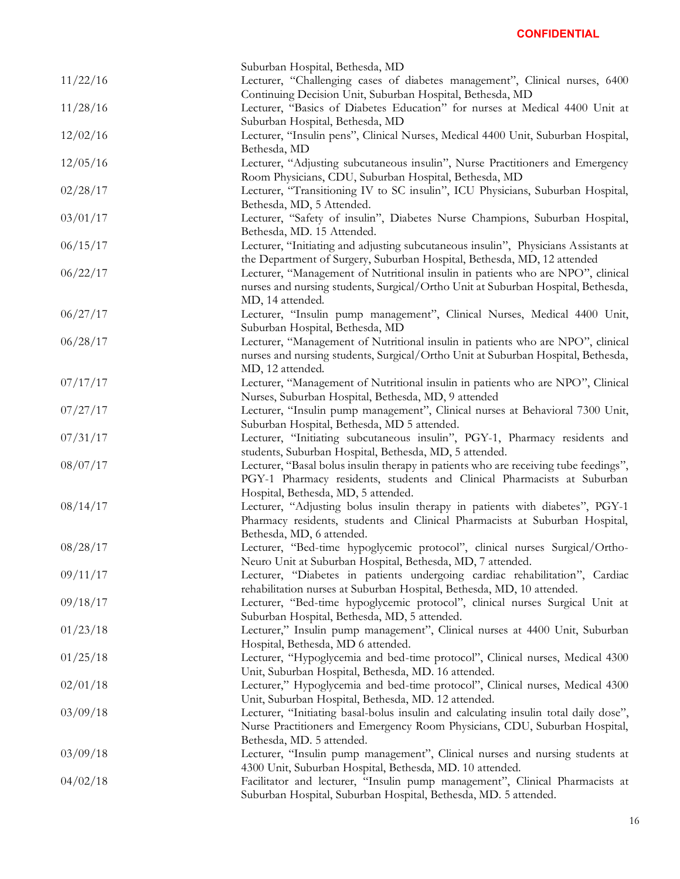|          | Suburban Hospital, Bethesda, MD                                                                                                                                     |
|----------|---------------------------------------------------------------------------------------------------------------------------------------------------------------------|
| 11/22/16 | Lecturer, "Challenging cases of diabetes management", Clinical nurses, 6400                                                                                         |
|          | Continuing Decision Unit, Suburban Hospital, Bethesda, MD                                                                                                           |
| 11/28/16 | Lecturer, "Basics of Diabetes Education" for nurses at Medical 4400 Unit at                                                                                         |
|          | Suburban Hospital, Bethesda, MD                                                                                                                                     |
| 12/02/16 | Lecturer, "Insulin pens", Clinical Nurses, Medical 4400 Unit, Suburban Hospital,                                                                                    |
|          | Bethesda, MD                                                                                                                                                        |
| 12/05/16 | Lecturer, "Adjusting subcutaneous insulin", Nurse Practitioners and Emergency                                                                                       |
|          | Room Physicians, CDU, Suburban Hospital, Bethesda, MD                                                                                                               |
| 02/28/17 | Lecturer, "Transitioning IV to SC insulin", ICU Physicians, Suburban Hospital,                                                                                      |
|          | Bethesda, MD, 5 Attended.                                                                                                                                           |
| 03/01/17 | Lecturer, "Safety of insulin", Diabetes Nurse Champions, Suburban Hospital,                                                                                         |
|          | Bethesda, MD. 15 Attended.                                                                                                                                          |
| 06/15/17 | Lecturer, "Initiating and adjusting subcutaneous insulin", Physicians Assistants at                                                                                 |
|          | the Department of Surgery, Suburban Hospital, Bethesda, MD, 12 attended                                                                                             |
| 06/22/17 |                                                                                                                                                                     |
|          | Lecturer, "Management of Nutritional insulin in patients who are NPO", clinical<br>nurses and nursing students, Surgical/Ortho Unit at Suburban Hospital, Bethesda, |
|          |                                                                                                                                                                     |
|          | MD, 14 attended.                                                                                                                                                    |
| 06/27/17 | Lecturer, "Insulin pump management", Clinical Nurses, Medical 4400 Unit,                                                                                            |
|          | Suburban Hospital, Bethesda, MD                                                                                                                                     |
| 06/28/17 | Lecturer, "Management of Nutritional insulin in patients who are NPO", clinical                                                                                     |
|          | nurses and nursing students, Surgical/Ortho Unit at Suburban Hospital, Bethesda,                                                                                    |
|          | MD, 12 attended.                                                                                                                                                    |
| 07/17/17 | Lecturer, "Management of Nutritional insulin in patients who are NPO", Clinical                                                                                     |
|          | Nurses, Suburban Hospital, Bethesda, MD, 9 attended                                                                                                                 |
| 07/27/17 | Lecturer, "Insulin pump management", Clinical nurses at Behavioral 7300 Unit,                                                                                       |
|          | Suburban Hospital, Bethesda, MD 5 attended.                                                                                                                         |
| 07/31/17 | Lecturer, "Initiating subcutaneous insulin", PGY-1, Pharmacy residents and                                                                                          |
|          | students, Suburban Hospital, Bethesda, MD, 5 attended.                                                                                                              |
| 08/07/17 | Lecturer, "Basal bolus insulin therapy in patients who are receiving tube feedings",                                                                                |
|          | PGY-1 Pharmacy residents, students and Clinical Pharmacists at Suburban                                                                                             |
|          | Hospital, Bethesda, MD, 5 attended.                                                                                                                                 |
| 08/14/17 | Lecturer, "Adjusting bolus insulin therapy in patients with diabetes", PGY-1                                                                                        |
|          | Pharmacy residents, students and Clinical Pharmacists at Suburban Hospital,                                                                                         |
|          | Bethesda, MD, 6 attended.                                                                                                                                           |
| 08/28/17 | Lecturer, "Bed-time hypoglycemic protocol", clinical nurses Surgical/Ortho-                                                                                         |
|          | Neuro Unit at Suburban Hospital, Bethesda, MD, 7 attended.                                                                                                          |
| 09/11/17 | Lecturer, "Diabetes in patients undergoing cardiac rehabilitation", Cardiac                                                                                         |
|          | rehabilitation nurses at Suburban Hospital, Bethesda, MD, 10 attended.                                                                                              |
| 09/18/17 | Lecturer, "Bed-time hypoglycemic protocol", clinical nurses Surgical Unit at                                                                                        |
|          | Suburban Hospital, Bethesda, MD, 5 attended.                                                                                                                        |
| 01/23/18 | Lecturer," Insulin pump management", Clinical nurses at 4400 Unit, Suburban                                                                                         |
|          | Hospital, Bethesda, MD 6 attended.                                                                                                                                  |
| 01/25/18 | Lecturer, "Hypoglycemia and bed-time protocol", Clinical nurses, Medical 4300                                                                                       |
|          | Unit, Suburban Hospital, Bethesda, MD. 16 attended.                                                                                                                 |
| 02/01/18 | Lecturer," Hypoglycemia and bed-time protocol", Clinical nurses, Medical 4300                                                                                       |
|          | Unit, Suburban Hospital, Bethesda, MD. 12 attended.                                                                                                                 |
| 03/09/18 | Lecturer, "Initiating basal-bolus insulin and calculating insulin total daily dose",                                                                                |
|          | Nurse Practitioners and Emergency Room Physicians, CDU, Suburban Hospital,                                                                                          |
|          | Bethesda, MD. 5 attended.                                                                                                                                           |
| 03/09/18 | Lecturer, "Insulin pump management", Clinical nurses and nursing students at                                                                                        |
|          | 4300 Unit, Suburban Hospital, Bethesda, MD. 10 attended.                                                                                                            |
| 04/02/18 | Facilitator and lecturer, "Insulin pump management", Clinical Pharmacists at                                                                                        |
|          | Suburban Hospital, Suburban Hospital, Bethesda, MD. 5 attended.                                                                                                     |
|          |                                                                                                                                                                     |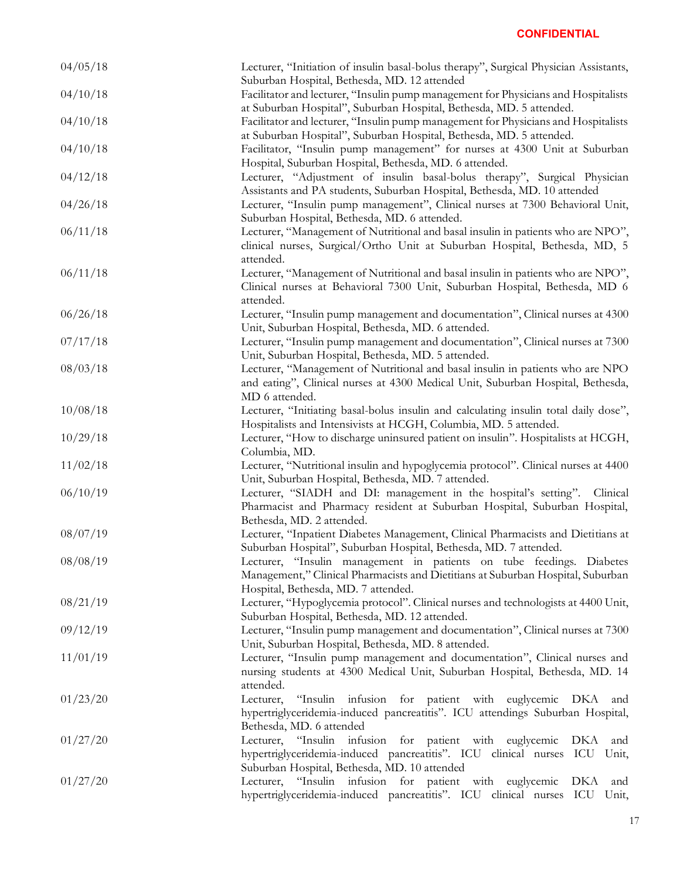| 04/05/18 | Lecturer, "Initiation of insulin basal-bolus therapy", Surgical Physician Assistants,<br>Suburban Hospital, Bethesda, MD. 12 attended                                                                       |
|----------|-------------------------------------------------------------------------------------------------------------------------------------------------------------------------------------------------------------|
| 04/10/18 | Facilitator and lecturer, "Insulin pump management for Physicians and Hospitalists                                                                                                                          |
| 04/10/18 | at Suburban Hospital", Suburban Hospital, Bethesda, MD. 5 attended.<br>Facilitator and lecturer, "Insulin pump management for Physicians and Hospitalists                                                   |
| 04/10/18 | at Suburban Hospital", Suburban Hospital, Bethesda, MD. 5 attended.<br>Facilitator, "Insulin pump management" for nurses at 4300 Unit at Suburban<br>Hospital, Suburban Hospital, Bethesda, MD. 6 attended. |
| 04/12/18 | Lecturer, "Adjustment of insulin basal-bolus therapy", Surgical Physician<br>Assistants and PA students, Suburban Hospital, Bethesda, MD. 10 attended                                                       |
| 04/26/18 | Lecturer, "Insulin pump management", Clinical nurses at 7300 Behavioral Unit,<br>Suburban Hospital, Bethesda, MD. 6 attended.                                                                               |
| 06/11/18 | Lecturer, "Management of Nutritional and basal insulin in patients who are NPO",<br>clinical nurses, Surgical/Ortho Unit at Suburban Hospital, Bethesda, MD, 5<br>attended.                                 |
| 06/11/18 | Lecturer, "Management of Nutritional and basal insulin in patients who are NPO",<br>Clinical nurses at Behavioral 7300 Unit, Suburban Hospital, Bethesda, MD 6<br>attended.                                 |
| 06/26/18 | Lecturer, "Insulin pump management and documentation", Clinical nurses at 4300<br>Unit, Suburban Hospital, Bethesda, MD. 6 attended.                                                                        |
| 07/17/18 | Lecturer, "Insulin pump management and documentation", Clinical nurses at 7300<br>Unit, Suburban Hospital, Bethesda, MD. 5 attended.                                                                        |
| 08/03/18 | Lecturer, "Management of Nutritional and basal insulin in patients who are NPO<br>and eating", Clinical nurses at 4300 Medical Unit, Suburban Hospital, Bethesda,<br>MD 6 attended.                         |
| 10/08/18 | Lecturer, "Initiating basal-bolus insulin and calculating insulin total daily dose",<br>Hospitalists and Intensivists at HCGH, Columbia, MD. 5 attended.                                                    |
| 10/29/18 | Lecturer, "How to discharge uninsured patient on insulin". Hospitalists at HCGH,<br>Columbia, MD.                                                                                                           |
| 11/02/18 | Lecturer, "Nutritional insulin and hypoglycemia protocol". Clinical nurses at 4400<br>Unit, Suburban Hospital, Bethesda, MD. 7 attended.                                                                    |
| 06/10/19 | Lecturer, "SIADH and DI: management in the hospital's setting". Clinical<br>Pharmacist and Pharmacy resident at Suburban Hospital, Suburban Hospital,<br>Bethesda, MD. 2 attended.                          |
| 08/07/19 | Lecturer, "Inpatient Diabetes Management, Clinical Pharmacists and Dietitians at<br>Suburban Hospital", Suburban Hospital, Bethesda, MD. 7 attended.                                                        |
| 08/08/19 | Lecturer, "Insulin management in patients on tube feedings. Diabetes<br>Management," Clinical Pharmacists and Dietitians at Suburban Hospital, Suburban<br>Hospital, Bethesda, MD. 7 attended.              |
| 08/21/19 | Lecturer, "Hypoglycemia protocol". Clinical nurses and technologists at 4400 Unit,<br>Suburban Hospital, Bethesda, MD. 12 attended.                                                                         |
| 09/12/19 | Lecturer, "Insulin pump management and documentation", Clinical nurses at 7300<br>Unit, Suburban Hospital, Bethesda, MD. 8 attended.                                                                        |
| 11/01/19 | Lecturer, "Insulin pump management and documentation", Clinical nurses and<br>nursing students at 4300 Medical Unit, Suburban Hospital, Bethesda, MD. 14<br>attended.                                       |
| 01/23/20 | Lecturer,<br>"Insulin infusion for patient with euglycemic DKA<br>and<br>hypertriglyceridemia-induced pancreatitis". ICU attendings Suburban Hospital,<br>Bethesda, MD. 6 attended                          |
| 01/27/20 | Lecturer, "Insulin infusion for patient with euglycemic<br>DKA<br>and<br>hypertriglyceridemia-induced pancreatitis". ICU clinical nurses ICU<br>Unit,<br>Suburban Hospital, Bethesda, MD. 10 attended       |
| 01/27/20 | Lecturer, "Insulin infusion for patient with euglycemic<br>DKA<br>and<br>hypertriglyceridemia-induced pancreatitis". ICU clinical nurses ICU Unit,                                                          |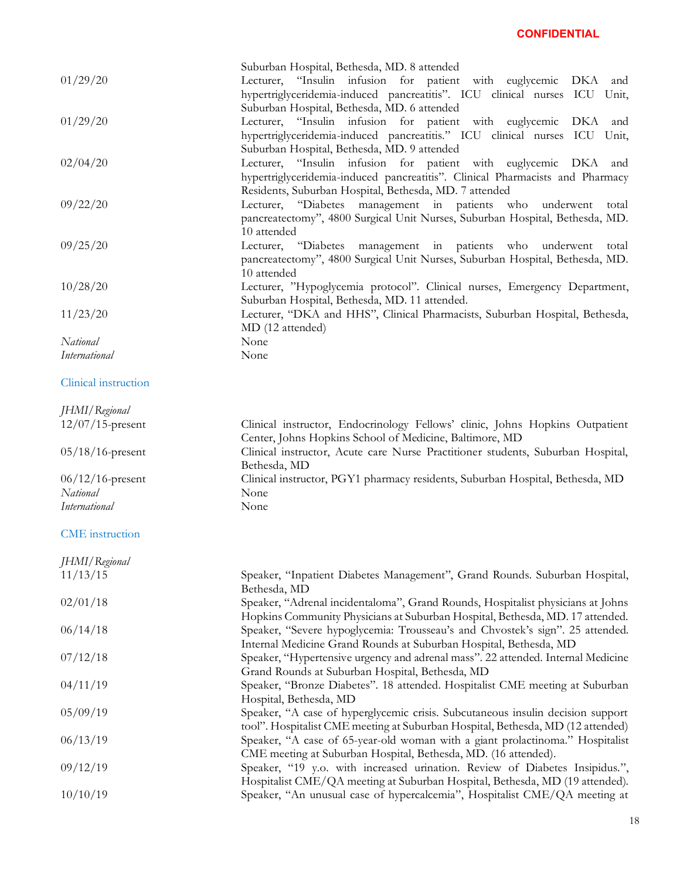|                      | Suburban Hospital, Bethesda, MD. 8 attended                                      |
|----------------------|----------------------------------------------------------------------------------|
| 01/29/20             | Lecturer, "Insulin infusion for patient with euglycemic DKA<br>and               |
|                      | hypertriglyceridemia-induced pancreatitis". ICU clinical nurses ICU Unit,        |
|                      | Suburban Hospital, Bethesda, MD. 6 attended                                      |
| 01/29/20             | Lecturer, "Insulin infusion for patient with euglycemic DKA<br>and               |
|                      | hypertriglyceridemia-induced pancreatitis." ICU clinical nurses ICU Unit,        |
|                      | Suburban Hospital, Bethesda, MD. 9 attended                                      |
| 02/04/20             | Lecturer, "Insulin infusion for patient with euglycemic DKA<br>and               |
|                      | hypertriglyceridemia-induced pancreatitis". Clinical Pharmacists and Pharmacy    |
|                      | Residents, Suburban Hospital, Bethesda, MD. 7 attended                           |
| 09/22/20             | Lecturer, "Diabetes management in patients who<br>underwent<br>total             |
|                      | pancreatectomy", 4800 Surgical Unit Nurses, Suburban Hospital, Bethesda, MD.     |
|                      | 10 attended                                                                      |
| 09/25/20             | Lecturer, "Diabetes management in patients who underwent<br>total                |
|                      | pancreatectomy", 4800 Surgical Unit Nurses, Suburban Hospital, Bethesda, MD.     |
|                      |                                                                                  |
|                      | 10 attended                                                                      |
| 10/28/20             | Lecturer, "Hypoglycemia protocol". Clinical nurses, Emergency Department,        |
|                      | Suburban Hospital, Bethesda, MD. 11 attended.                                    |
| 11/23/20             | Lecturer, "DKA and HHS", Clinical Pharmacists, Suburban Hospital, Bethesda,      |
|                      | MD (12 attended)                                                                 |
| National             | None                                                                             |
| <b>International</b> | None                                                                             |
|                      |                                                                                  |
| Clinical instruction |                                                                                  |
|                      |                                                                                  |
| JHMI/Regional        |                                                                                  |
| $12/07/15$ -present  | Clinical instructor, Endocrinology Fellows' clinic, Johns Hopkins Outpatient     |
|                      | Center, Johns Hopkins School of Medicine, Baltimore, MD                          |
| 05/18/16-present     | Clinical instructor, Acute care Nurse Practitioner students, Suburban Hospital,  |
|                      | Bethesda, MD                                                                     |
| $06/12/16$ -present  | Clinical instructor, PGY1 pharmacy residents, Suburban Hospital, Bethesda, MD    |
| National             | None                                                                             |
| <i>International</i> | None                                                                             |
|                      |                                                                                  |
| CME instruction      |                                                                                  |
|                      |                                                                                  |
| JHMI/Regional        |                                                                                  |
| 11/13/15             | Speaker, "Inpatient Diabetes Management", Grand Rounds. Suburban Hospital,       |
|                      | Bethesda, MD                                                                     |
| 02/01/18             | Speaker, "Adrenal incidentaloma", Grand Rounds, Hospitalist physicians at Johns  |
|                      | Hopkins Community Physicians at Suburban Hospital, Bethesda, MD. 17 attended.    |
| 06/14/18             | Speaker, "Severe hypoglycemia: Trousseau's and Chvostek's sign". 25 attended.    |
|                      | Internal Medicine Grand Rounds at Suburban Hospital, Bethesda, MD                |
| 07/12/18             | Speaker, "Hypertensive urgency and adrenal mass". 22 attended. Internal Medicine |
|                      | Grand Rounds at Suburban Hospital, Bethesda, MD                                  |
| 04/11/19             | Speaker, "Bronze Diabetes". 18 attended. Hospitalist CME meeting at Suburban     |
|                      | Hospital, Bethesda, MD                                                           |
| 05/09/19             | Speaker, "A case of hyperglycemic crisis. Subcutaneous insulin decision support  |
|                      | tool". Hospitalist CME meeting at Suburban Hospital, Bethesda, MD (12 attended)  |
| 06/13/19             | Speaker, "A case of 65-year-old woman with a giant prolactinoma." Hospitalist    |
|                      | CME meeting at Suburban Hospital, Bethesda, MD. (16 attended).                   |
| 09/12/19             | Speaker, "19 y.o. with increased urination. Review of Diabetes Insipidus.",      |
|                      | Hospitalist CME/QA meeting at Suburban Hospital, Bethesda, MD (19 attended).     |
| 10/10/19             | Speaker, "An unusual case of hypercalcemia", Hospitalist CME/QA meeting at       |
|                      |                                                                                  |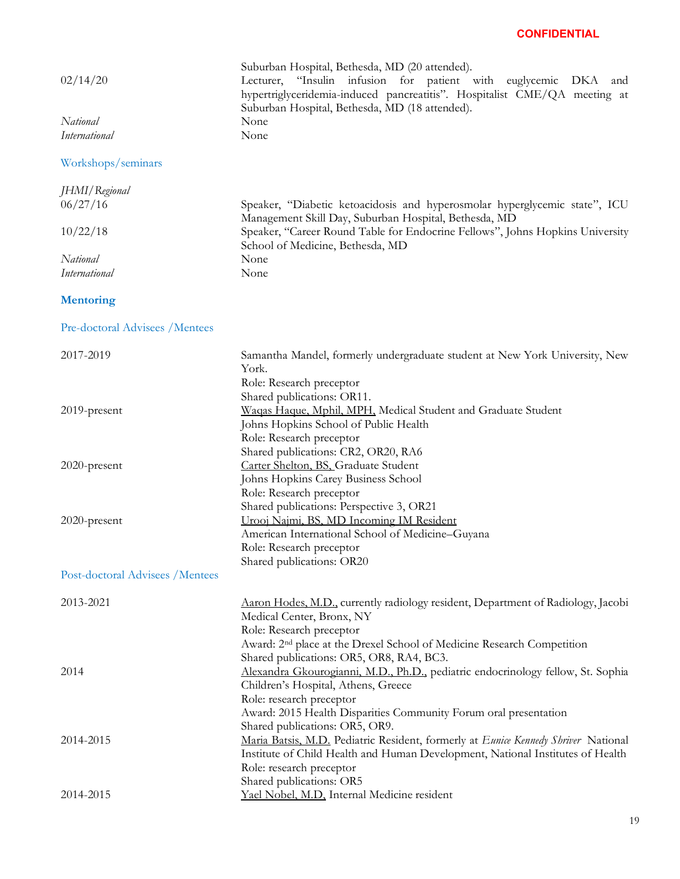| 02/14/20<br>National             | Suburban Hospital, Bethesda, MD (20 attended).<br>Lecturer, "Insulin infusion for patient with euglycemic DKA<br>and<br>hypertriglyceridemia-induced pancreatitis". Hospitalist CME/QA meeting at<br>Suburban Hospital, Bethesda, MD (18 attended).<br>None |
|----------------------------------|-------------------------------------------------------------------------------------------------------------------------------------------------------------------------------------------------------------------------------------------------------------|
| <b>International</b>             | None                                                                                                                                                                                                                                                        |
| Workshops/seminars               |                                                                                                                                                                                                                                                             |
| JHMI/Regional                    |                                                                                                                                                                                                                                                             |
| 06/27/16                         | Speaker, "Diabetic ketoacidosis and hyperosmolar hyperglycemic state", ICU                                                                                                                                                                                  |
| 10/22/18                         | Management Skill Day, Suburban Hospital, Bethesda, MD<br>Speaker, "Career Round Table for Endocrine Fellows", Johns Hopkins University                                                                                                                      |
| National                         | School of Medicine, Bethesda, MD<br>None                                                                                                                                                                                                                    |
| International                    | None                                                                                                                                                                                                                                                        |
|                                  |                                                                                                                                                                                                                                                             |
| <b>Mentoring</b>                 |                                                                                                                                                                                                                                                             |
| Pre-doctoral Advisees / Mentees  |                                                                                                                                                                                                                                                             |
| 2017-2019                        | Samantha Mandel, formerly undergraduate student at New York University, New<br>York.<br>Role: Research preceptor                                                                                                                                            |
|                                  | Shared publications: OR11.                                                                                                                                                                                                                                  |
| 2019-present                     | Waqas Haque, Mphil, MPH, Medical Student and Graduate Student                                                                                                                                                                                               |
|                                  | Johns Hopkins School of Public Health                                                                                                                                                                                                                       |
|                                  | Role: Research preceptor                                                                                                                                                                                                                                    |
|                                  | Shared publications: CR2, OR20, RA6                                                                                                                                                                                                                         |
| 2020-present                     | Carter Shelton, BS, Graduate Student                                                                                                                                                                                                                        |
|                                  | Johns Hopkins Carey Business School                                                                                                                                                                                                                         |
|                                  | Role: Research preceptor                                                                                                                                                                                                                                    |
|                                  | Shared publications: Perspective 3, OR21                                                                                                                                                                                                                    |
| 2020-present                     | Urooj Najmi, BS, MD Incoming IM Resident                                                                                                                                                                                                                    |
|                                  | American International School of Medicine-Guyana                                                                                                                                                                                                            |
|                                  | Role: Research preceptor<br>Shared publications: OR20                                                                                                                                                                                                       |
| Post-doctoral Advisees / Mentees |                                                                                                                                                                                                                                                             |
|                                  |                                                                                                                                                                                                                                                             |
| 2013-2021                        | Aaron Hodes, M.D., currently radiology resident, Department of Radiology, Jacobi                                                                                                                                                                            |
|                                  | Medical Center, Bronx, NY                                                                                                                                                                                                                                   |
|                                  | Role: Research preceptor                                                                                                                                                                                                                                    |
|                                  | Award: 2 <sup>nd</sup> place at the Drexel School of Medicine Research Competition                                                                                                                                                                          |
|                                  | Shared publications: OR5, OR8, RA4, BC3.                                                                                                                                                                                                                    |
| 2014                             | Alexandra Gkourogianni, M.D., Ph.D., pediatric endocrinology fellow, St. Sophia                                                                                                                                                                             |
|                                  | Children's Hospital, Athens, Greece                                                                                                                                                                                                                         |
|                                  | Role: research preceptor<br>Award: 2015 Health Disparities Community Forum oral presentation                                                                                                                                                                |
|                                  | Shared publications: OR5, OR9.                                                                                                                                                                                                                              |
| 2014-2015                        | Maria Batsis, M.D. Pediatric Resident, formerly at Eunice Kennedy Shriver National                                                                                                                                                                          |
|                                  | Institute of Child Health and Human Development, National Institutes of Health                                                                                                                                                                              |
|                                  | Role: research preceptor                                                                                                                                                                                                                                    |
|                                  | Shared publications: OR5                                                                                                                                                                                                                                    |
| 2014-2015                        | Yael Nobel, M.D., Internal Medicine resident                                                                                                                                                                                                                |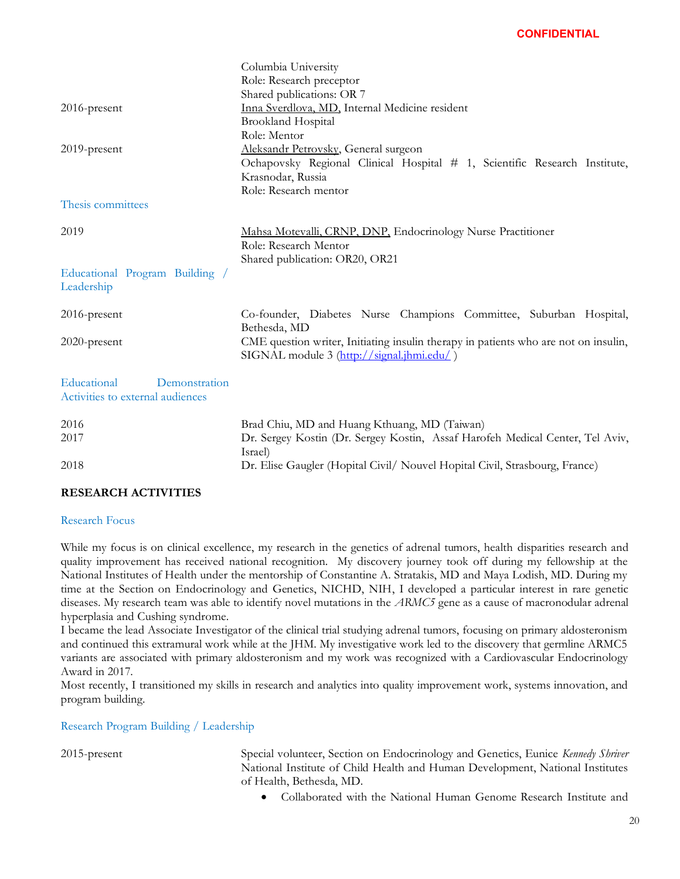|                                  | Columbia University                                                                 |
|----------------------------------|-------------------------------------------------------------------------------------|
|                                  | Role: Research preceptor                                                            |
|                                  | Shared publications: OR 7                                                           |
| 2016-present                     | Inna Sverdlova, MD, Internal Medicine resident                                      |
|                                  | <b>Brookland Hospital</b>                                                           |
|                                  | Role: Mentor                                                                        |
| 2019-present                     | Aleksandr Petrovsky, General surgeon                                                |
|                                  | Ochapovsky Regional Clinical Hospital # 1, Scientific Research Institute,           |
|                                  | Krasnodar, Russia                                                                   |
|                                  | Role: Research mentor                                                               |
| Thesis committees                |                                                                                     |
|                                  |                                                                                     |
| 2019                             | Mahsa Motevalli, CRNP, DNP, Endocrinology Nurse Practitioner                        |
|                                  | Role: Research Mentor                                                               |
|                                  | Shared publication: OR20, OR21                                                      |
| Educational Program Building /   |                                                                                     |
| Leadership                       |                                                                                     |
|                                  |                                                                                     |
| $2016$ -present                  | Co-founder, Diabetes Nurse Champions Committee, Suburban Hospital,                  |
|                                  | Bethesda, MD                                                                        |
| 2020-present                     | CME question writer, Initiating insulin therapy in patients who are not on insulin, |
|                                  | SIGNAL module 3 (http://signal.jhmi.edu/)                                           |
|                                  |                                                                                     |
| Educational<br>Demonstration     |                                                                                     |
| Activities to external audiences |                                                                                     |
|                                  |                                                                                     |
| 2016                             | Brad Chiu, MD and Huang Kthuang, MD (Taiwan)                                        |
| 2017                             | Dr. Sergey Kostin (Dr. Sergey Kostin, Assaf Harofeh Medical Center, Tel Aviv,       |
|                                  | Israel)                                                                             |
| 2018                             | Dr. Elise Gaugler (Hopital Civil/ Nouvel Hopital Civil, Strasbourg, France)         |
|                                  |                                                                                     |

#### **RESEARCH ACTIVITIES**

#### Research Focus

While my focus is on clinical excellence, my research in the genetics of adrenal tumors, health disparities research and quality improvement has received national recognition. My discovery journey took off during my fellowship at the National Institutes of Health under the mentorship of Constantine A. Stratakis, MD and Maya Lodish, MD. During my time at the Section on Endocrinology and Genetics, NICHD, NIH, I developed a particular interest in rare genetic diseases. My research team was able to identify novel mutations in the *ARMC5* gene as a cause of macronodular adrenal hyperplasia and Cushing syndrome.

I became the lead Associate Investigator of the clinical trial studying adrenal tumors, focusing on primary aldosteronism and continued this extramural work while at the JHM. My investigative work led to the discovery that germline ARMC5 variants are associated with primary aldosteronism and my work was recognized with a Cardiovascular Endocrinology Award in 2017.

Most recently, I transitioned my skills in research and analytics into quality improvement work, systems innovation, and program building.

Research Program Building / Leadership

2015-present Special volunteer, Section on Endocrinology and Genetics, Eunice *Kennedy Shriver* National Institute of Child Health and Human Development, National Institutes of Health, Bethesda, MD.

• Collaborated with the National Human Genome Research Institute and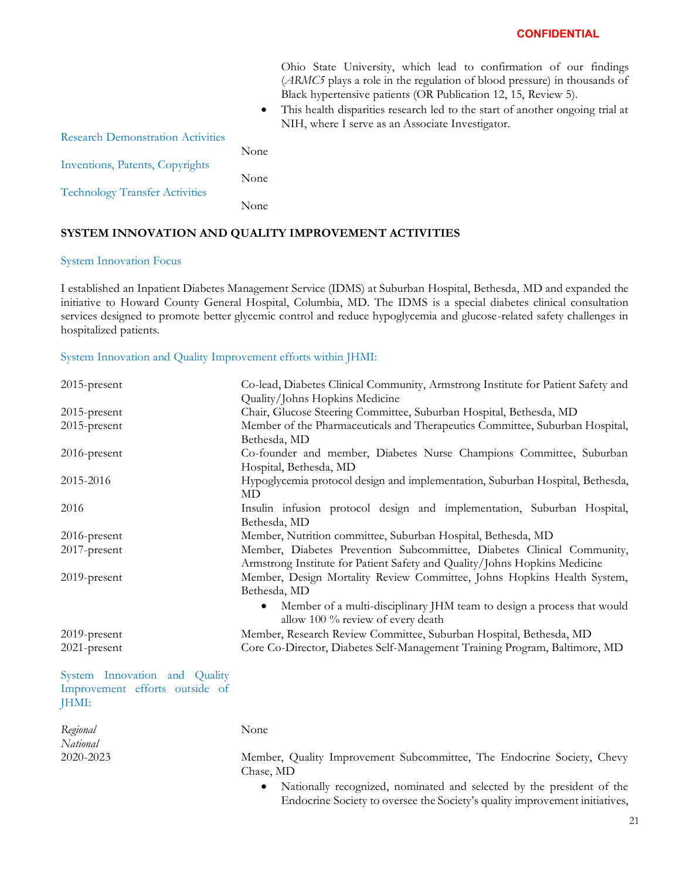Ohio State University, which lead to confirmation of our findings (*ARMC5* plays a role in the regulation of blood pressure) in thousands of Black hypertensive patients (OR Publication 12, 15, Review 5).

• This health disparities research led to the start of another ongoing trial at NIH, where I serve as an Associate Investigator.

| <b>Research Demonstration Activities</b> |      |
|------------------------------------------|------|
|                                          | None |
| Inventions, Patents, Copyrights          |      |
|                                          | None |
| <b>Technology Transfer Activities</b>    | None |

### **SYSTEM INNOVATION AND QUALITY IMPROVEMENT ACTIVITIES**

#### System Innovation Focus

*National*

I established an Inpatient Diabetes Management Service (IDMS) at Suburban Hospital, Bethesda, MD and expanded the initiative to Howard County General Hospital, Columbia, MD. The IDMS is a special diabetes clinical consultation services designed to promote better glycemic control and reduce hypoglycemia and glucose-related safety challenges in hospitalized patients.

#### System Innovation and Quality Improvement efforts within JHMI:

| $2015$ -present                                                          | Co-lead, Diabetes Clinical Community, Armstrong Institute for Patient Safety and                                                                    |
|--------------------------------------------------------------------------|-----------------------------------------------------------------------------------------------------------------------------------------------------|
|                                                                          | Quality/Johns Hopkins Medicine                                                                                                                      |
| $2015$ -present                                                          | Chair, Glucose Steering Committee, Suburban Hospital, Bethesda, MD                                                                                  |
| 2015-present                                                             | Member of the Pharmaceuticals and Therapeutics Committee, Suburban Hospital,                                                                        |
|                                                                          | Bethesda, MD                                                                                                                                        |
| 2016-present                                                             | Co-founder and member, Diabetes Nurse Champions Committee, Suburban                                                                                 |
|                                                                          | Hospital, Bethesda, MD                                                                                                                              |
| 2015-2016                                                                | Hypoglycemia protocol design and implementation, Suburban Hospital, Bethesda,                                                                       |
|                                                                          | MD                                                                                                                                                  |
| 2016                                                                     | Insulin infusion protocol design and implementation, Suburban Hospital,                                                                             |
|                                                                          | Bethesda, MD                                                                                                                                        |
| 2016-present                                                             | Member, Nutrition committee, Suburban Hospital, Bethesda, MD                                                                                        |
| 2017-present                                                             | Member, Diabetes Prevention Subcommittee, Diabetes Clinical Community,<br>Armstrong Institute for Patient Safety and Quality/Johns Hopkins Medicine |
| 2019-present                                                             | Member, Design Mortality Review Committee, Johns Hopkins Health System,                                                                             |
|                                                                          | Bethesda, MD                                                                                                                                        |
|                                                                          | Member of a multi-disciplinary JHM team to design a process that would<br>$\bullet$<br>allow 100 % review of every death                            |
| 2019-present                                                             | Member, Research Review Committee, Suburban Hospital, Bethesda, MD                                                                                  |
| 2021-present                                                             | Core Co-Director, Diabetes Self-Management Training Program, Baltimore, MD                                                                          |
| System Innovation and Quality<br>Improvement efforts outside of<br>JHMI: |                                                                                                                                                     |
|                                                                          |                                                                                                                                                     |
| Regional                                                                 | None                                                                                                                                                |

2020-2023 Member, Quality Improvement Subcommittee, The Endocrine Society, Chevy Chase, MD

> • Nationally recognized, nominated and selected by the president of the Endocrine Society to oversee the Society's quality improvement initiatives,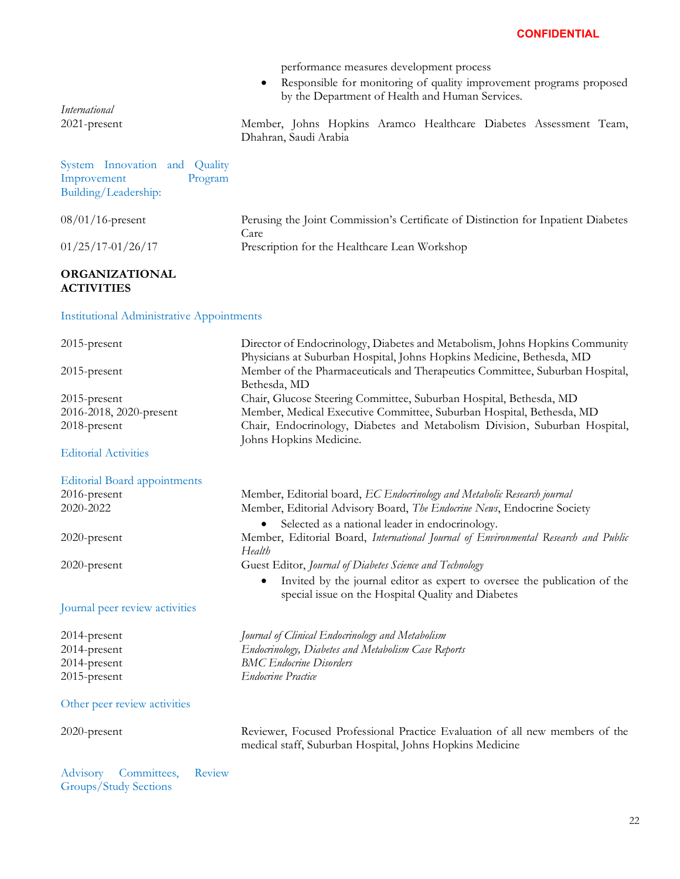|                                                  | performance measures development process                                          |
|--------------------------------------------------|-----------------------------------------------------------------------------------|
|                                                  | Responsible for monitoring of quality improvement programs proposed               |
|                                                  | by the Department of Health and Human Services.                                   |
| <i>International</i>                             |                                                                                   |
| 2021-present                                     | Member, Johns Hopkins Aramco Healthcare Diabetes Assessment Team,                 |
|                                                  | Dhahran, Saudi Arabia                                                             |
|                                                  |                                                                                   |
| System Innovation and Quality                    |                                                                                   |
| Improvement<br>Program                           |                                                                                   |
| Building/Leadership:                             |                                                                                   |
|                                                  |                                                                                   |
| $08/01/16$ -present                              | Perusing the Joint Commission's Certificate of Distinction for Inpatient Diabetes |
|                                                  | Care                                                                              |
| $01/25/17 - 01/26/17$                            | Prescription for the Healthcare Lean Workshop                                     |
|                                                  |                                                                                   |
| <b>ORGANIZATIONAL</b>                            |                                                                                   |
| <b>ACTIVITIES</b>                                |                                                                                   |
|                                                  |                                                                                   |
|                                                  |                                                                                   |
|                                                  |                                                                                   |
| <b>Institutional Administrative Appointments</b> |                                                                                   |
|                                                  | Director of Endocrinology, Diabetes and Metabolism, Johns Hopkins Community       |
| 2015-present                                     |                                                                                   |
|                                                  | Physicians at Suburban Hospital, Johns Hopkins Medicine, Bethesda, MD             |
| 2015-present                                     | Member of the Pharmaceuticals and Therapeutics Committee, Suburban Hospital,      |
|                                                  | Bethesda, MD                                                                      |
| 2015-present                                     | Chair, Glucose Steering Committee, Suburban Hospital, Bethesda, MD                |
| 2016-2018, 2020-present                          | Member, Medical Executive Committee, Suburban Hospital, Bethesda, MD              |
| 2018-present                                     | Chair, Endocrinology, Diabetes and Metabolism Division, Suburban Hospital,        |
| <b>Editorial Activities</b>                      | Johns Hopkins Medicine.                                                           |
|                                                  |                                                                                   |
| <b>Editorial Board appointments</b>              |                                                                                   |
| 2016-present                                     | Member, Editorial board, EC Endocrinology and Metabolic Research journal          |
| 2020-2022                                        | Member, Editorial Advisory Board, The Endocrine News, Endocrine Society           |

2020-present Member, Editorial Board, *International Journal of Environmental Research and Public* 

2020-present Guest Editor, *Journal of Diabetes Science and Technology*

#### Journal peer review activities

2014-present *Journal of Clinical Endocrinology and Metabolism* 2014-present *Endocrinology, Diabetes and Metabolism Case Reports* 2014-present 2015-present

#### Other peer review activities

Advisory Committees, Review Groups/Study Sections

*Health*

*BMC Endocrine Disorders*

*Endocrine Practice*

2020-present Reviewer, Focused Professional Practice Evaluation of all new members of the medical staff, Suburban Hospital, Johns Hopkins Medicine

• Invited by the journal editor as expert to oversee the publication of the

special issue on the Hospital Quality and Diabetes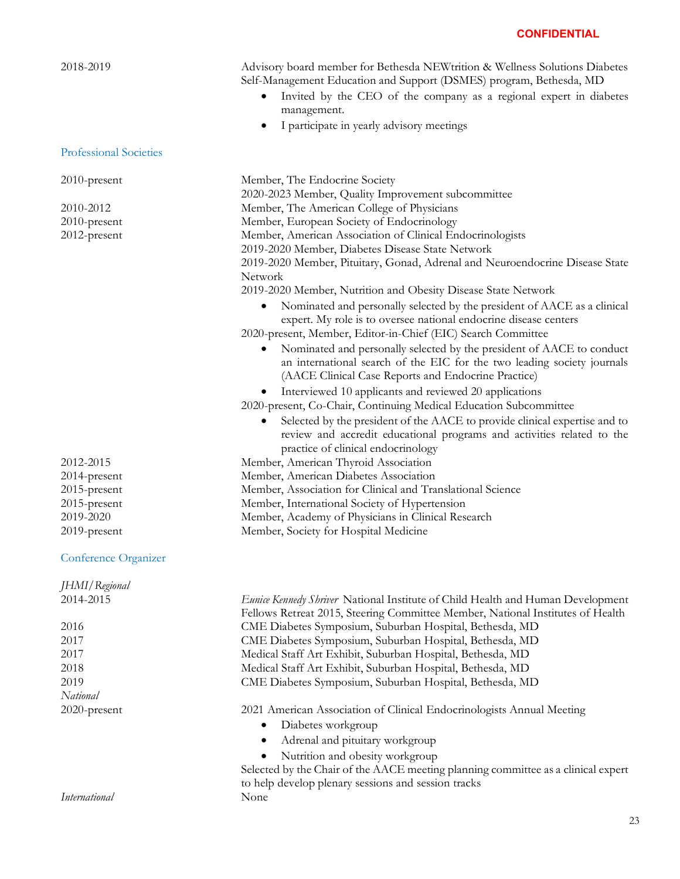### Professional Societies

#### Conference Organizer

| JHMI/Regional |                                                                                   |
|---------------|-----------------------------------------------------------------------------------|
| 2014-2015     | Eunice Kennedy Shriver National Institute of Child Health and Human Development   |
|               | Fellows Retreat 2015, Steering Committee Member, National Institutes of Health    |
| 2016          | CME Diabetes Symposium, Suburban Hospital, Bethesda, MD                           |
| 2017          | CME Diabetes Symposium, Suburban Hospital, Bethesda, MD                           |
| 2017          | Medical Staff Art Exhibit, Suburban Hospital, Bethesda, MD                        |
| 2018          | Medical Staff Art Exhibit, Suburban Hospital, Bethesda, MD                        |
| 2019          | CME Diabetes Symposium, Suburban Hospital, Bethesda, MD                           |
| National      |                                                                                   |
| 2020-present  | 2021 American Association of Clinical Endocrinologists Annual Meeting             |
|               | Diabetes workgroup<br>٠                                                           |
|               | Adrenal and pituitary workgroup<br>$\bullet$                                      |
|               | Nutrition and obesity workgroup<br>$\bullet$                                      |
|               | Selected by the Chair of the AACE meeting planning committee as a clinical expert |

*International* None

2018-2019 Advisory board member for Bethesda NEWtrition & Wellness Solutions Diabetes Self-Management Education and Support (DSMES) program, Bethesda, MD

- Invited by the CEO of the company as a regional expert in diabetes management.
- I participate in yearly advisory meetings

2010-present Member, The Endocrine Society 2020-2023 Member, Quality Improvement subcommittee 2010-2012 Member, The American College of Physicians 2010-present Member, European Society of Endocrinology 2012-present Member, American Association of Clinical Endocrinologists 2019-2020 Member, Diabetes Disease State Network 2019-2020 Member, Pituitary, Gonad, Adrenal and Neuroendocrine Disease State Network 2019-2020 Member, Nutrition and Obesity Disease State Network • Nominated and personally selected by the president of AACE as a clinical expert. My role is to oversee national endocrine disease centers 2020-present, Member, Editor-in-Chief (EIC) Search Committee • Nominated and personally selected by the president of AACE to conduct an international search of the EIC for the two leading society journals (AACE Clinical Case Reports and Endocrine Practice) • Interviewed 10 applicants and reviewed 20 applications 2020-present, Co-Chair, Continuing Medical Education Subcommittee Selected by the president of the AACE to provide clinical expertise and to review and accredit educational programs and activities related to the

- practice of clinical endocrinology
- 2012-2015 Member, American Thyroid Association
- 2014-present Member, American Diabetes Association
- 2015-present Member, Association for Clinical and Translational Science
- 2015-present Member, International Society of Hypertension
- 2019-2020 Member, Academy of Physicians in Clinical Research
- 2019-present Member, Society for Hospital Medicine

Selected by the Chair of the AACE meeting planning committee as a clinical expert to help develop plenary sessions and session tracks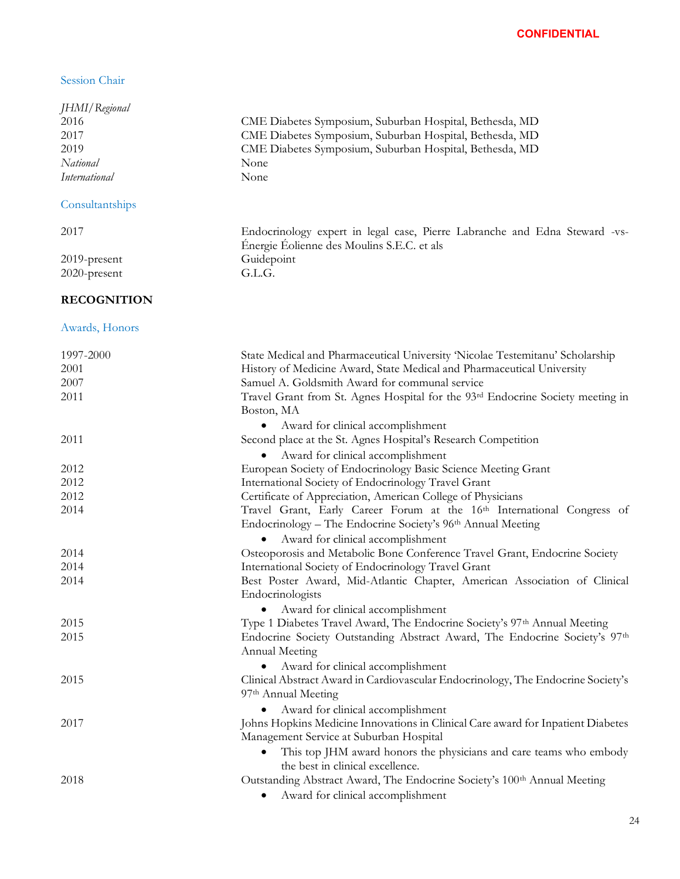## Session Chair

| JHMI/Regional<br>2016<br>2017<br>2019<br>National<br><b>International</b> | CME Diabetes Symposium, Suburban Hospital, Bethesda, MD<br>CME Diabetes Symposium, Suburban Hospital, Bethesda, MD<br>CME Diabetes Symposium, Suburban Hospital, Bethesda, MD<br>None<br>None                                                                                                             |
|---------------------------------------------------------------------------|-----------------------------------------------------------------------------------------------------------------------------------------------------------------------------------------------------------------------------------------------------------------------------------------------------------|
| Consultantships                                                           |                                                                                                                                                                                                                                                                                                           |
| 2017                                                                      | Endocrinology expert in legal case, Pierre Labranche and Edna Steward -vs-<br>Énergie Éolienne des Moulins S.E.C. et als                                                                                                                                                                                  |
| 2019-present<br>2020-present                                              | Guidepoint<br>G.L.G.                                                                                                                                                                                                                                                                                      |
| <b>RECOGNITION</b>                                                        |                                                                                                                                                                                                                                                                                                           |
| Awards, Honors                                                            |                                                                                                                                                                                                                                                                                                           |
| 1997-2000<br>2001<br>2007<br>2011                                         | State Medical and Pharmaceutical University 'Nicolae Testemitanu' Scholarship<br>History of Medicine Award, State Medical and Pharmaceutical University<br>Samuel A. Goldsmith Award for communal service<br>Travel Grant from St. Agnes Hospital for the 93rd Endocrine Society meeting in<br>Boston, MA |
| 2011                                                                      | Award for clinical accomplishment<br>Second place at the St. Agnes Hospital's Research Competition<br>Award for clinical accomplishment                                                                                                                                                                   |
| 2012                                                                      | European Society of Endocrinology Basic Science Meeting Grant                                                                                                                                                                                                                                             |
| 2012                                                                      | International Society of Endocrinology Travel Grant                                                                                                                                                                                                                                                       |
| 2012<br>2014                                                              | Certificate of Appreciation, American College of Physicians<br>Travel Grant, Early Career Forum at the 16th International Congress of<br>Endocrinology - The Endocrine Society's 96 <sup>th</sup> Annual Meeting<br>Award for clinical accomplishment                                                     |
| 2014                                                                      | Osteoporosis and Metabolic Bone Conference Travel Grant, Endocrine Society                                                                                                                                                                                                                                |
| 2014                                                                      | International Society of Endocrinology Travel Grant                                                                                                                                                                                                                                                       |
| 2014                                                                      | Best Poster Award, Mid-Atlantic Chapter, American Association of Clinical<br>Endocrinologists                                                                                                                                                                                                             |
| 2015                                                                      | Award for clinical accomplishment<br>$\bullet$<br>Type 1 Diabetes Travel Award, The Endocrine Society's 97 <sup>th</sup> Annual Meeting                                                                                                                                                                   |
| 2015                                                                      | Endocrine Society Outstanding Abstract Award, The Endocrine Society's 97 <sup>th</sup><br>Annual Meeting<br>Award for clinical accomplishment                                                                                                                                                             |
| 2015                                                                      | Clinical Abstract Award in Cardiovascular Endocrinology, The Endocrine Society's<br>97 <sup>th</sup> Annual Meeting                                                                                                                                                                                       |
| 2017                                                                      | Award for clinical accomplishment<br>$\bullet$<br>Johns Hopkins Medicine Innovations in Clinical Care award for Inpatient Diabetes<br>Management Service at Suburban Hospital<br>This top JHM award honors the physicians and care teams who embody<br>the best in clinical excellence.                   |
| 2018                                                                      | Outstanding Abstract Award, The Endocrine Society's 100th Annual Meeting<br>Award for clinical accomplishment                                                                                                                                                                                             |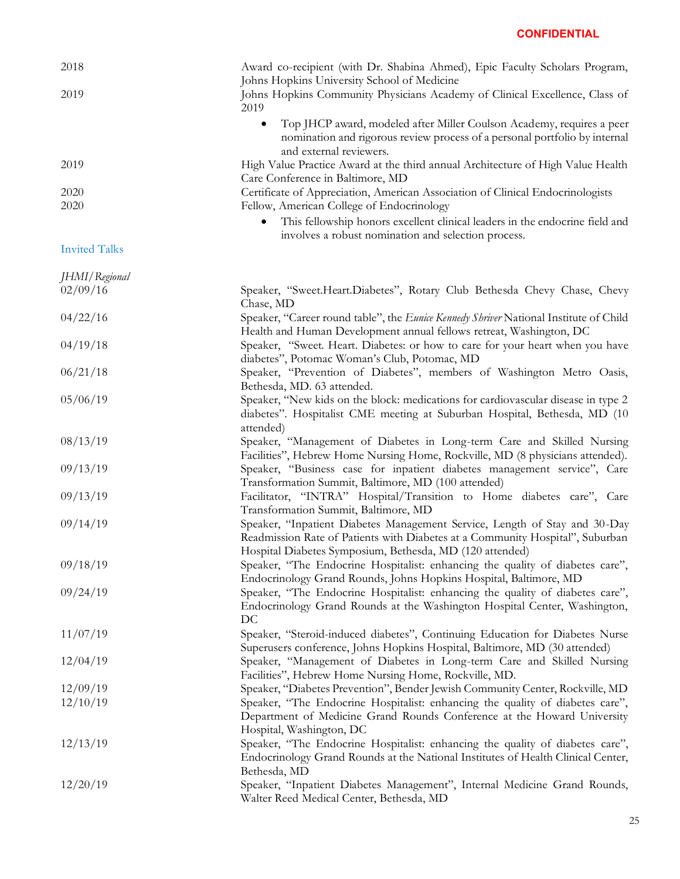| 2018 | Award co-recipient (with Dr. Shabina Ahmed), Epic Faculty Scholars Program,<br>Johns Hopkins University School of Medicine                                                     |
|------|--------------------------------------------------------------------------------------------------------------------------------------------------------------------------------|
| 2019 | Johns Hopkins Community Physicians Academy of Clinical Excellence, Class of<br>2019                                                                                            |
|      | Top JHCP award, modeled after Miller Coulson Academy, requires a peer<br>nomination and rigorous review process of a personal portfolio by internal<br>and external reviewers. |
| 2019 | High Value Practice Award at the third annual Architecture of High Value Health                                                                                                |
|      | Care Conference in Baltimore, MD                                                                                                                                               |
| 2020 | Certificate of Appreciation, American Association of Clinical Endocrinologists                                                                                                 |
| 2020 | Fellow, American College of Endocrinology                                                                                                                                      |
|      | This fellowship honors excellent clinical leaders in the endocrine field and                                                                                                   |

involves a robust nomination and selection process.

### Invited Talks

| JHMI/Regional |                                                                                                                                                                                                                         |
|---------------|-------------------------------------------------------------------------------------------------------------------------------------------------------------------------------------------------------------------------|
| 02/09/16      | Speaker, "Sweet.Heart.Diabetes", Rotary Club Bethesda Chevy Chase, Chevy<br>Chase, MD                                                                                                                                   |
| 04/22/16      | Speaker, "Career round table", the Eunice Kennedy Shriver National Institute of Child<br>Health and Human Development annual fellows retreat, Washington, DC                                                            |
| 04/19/18      | Speaker, "Sweet. Heart. Diabetes: or how to care for your heart when you have<br>diabetes", Potomac Woman's Club, Potomac, MD                                                                                           |
| 06/21/18      | Speaker, "Prevention of Diabetes", members of Washington Metro Oasis,<br>Bethesda, MD. 63 attended.                                                                                                                     |
| 05/06/19      | Speaker, "New kids on the block: medications for cardiovascular disease in type 2<br>diabetes". Hospitalist CME meeting at Suburban Hospital, Bethesda, MD (10<br>attended)                                             |
| 08/13/19      | Speaker, "Management of Diabetes in Long-term Care and Skilled Nursing<br>Facilities", Hebrew Home Nursing Home, Rockville, MD (8 physicians attended).                                                                 |
| 09/13/19      | Speaker, "Business case for inpatient diabetes management service", Care<br>Transformation Summit, Baltimore, MD (100 attended)                                                                                         |
| 09/13/19      | Facilitator, "INTRA" Hospital/Transition to Home diabetes care", Care<br>Transformation Summit, Baltimore, MD                                                                                                           |
| 09/14/19      | Speaker, "Inpatient Diabetes Management Service, Length of Stay and 30-Day<br>Readmission Rate of Patients with Diabetes at a Community Hospital", Suburban<br>Hospital Diabetes Symposium, Bethesda, MD (120 attended) |
| 09/18/19      | Speaker, "The Endocrine Hospitalist: enhancing the quality of diabetes care",<br>Endocrinology Grand Rounds, Johns Hopkins Hospital, Baltimore, MD                                                                      |
| 09/24/19      | Speaker, "The Endocrine Hospitalist: enhancing the quality of diabetes care",<br>Endocrinology Grand Rounds at the Washington Hospital Center, Washington,<br>DC                                                        |
| 11/07/19      | Speaker, "Steroid-induced diabetes", Continuing Education for Diabetes Nurse<br>Superusers conference, Johns Hopkins Hospital, Baltimore, MD (30 attended)                                                              |
| 12/04/19      | Speaker, "Management of Diabetes in Long-term Care and Skilled Nursing<br>Facilities", Hebrew Home Nursing Home, Rockville, MD.                                                                                         |
| 12/09/19      | Speaker, "Diabetes Prevention", Bender Jewish Community Center, Rockville, MD                                                                                                                                           |
| 12/10/19      | Speaker, "The Endocrine Hospitalist: enhancing the quality of diabetes care",<br>Department of Medicine Grand Rounds Conference at the Howard University<br>Hospital, Washington, DC                                    |
| 12/13/19      | Speaker, "The Endocrine Hospitalist: enhancing the quality of diabetes care",<br>Endocrinology Grand Rounds at the National Institutes of Health Clinical Center,<br>Bethesda, MD                                       |
| 12/20/19      | Speaker, "Inpatient Diabetes Management", Internal Medicine Grand Rounds,<br>Walter Reed Medical Center, Bethesda, MD                                                                                                   |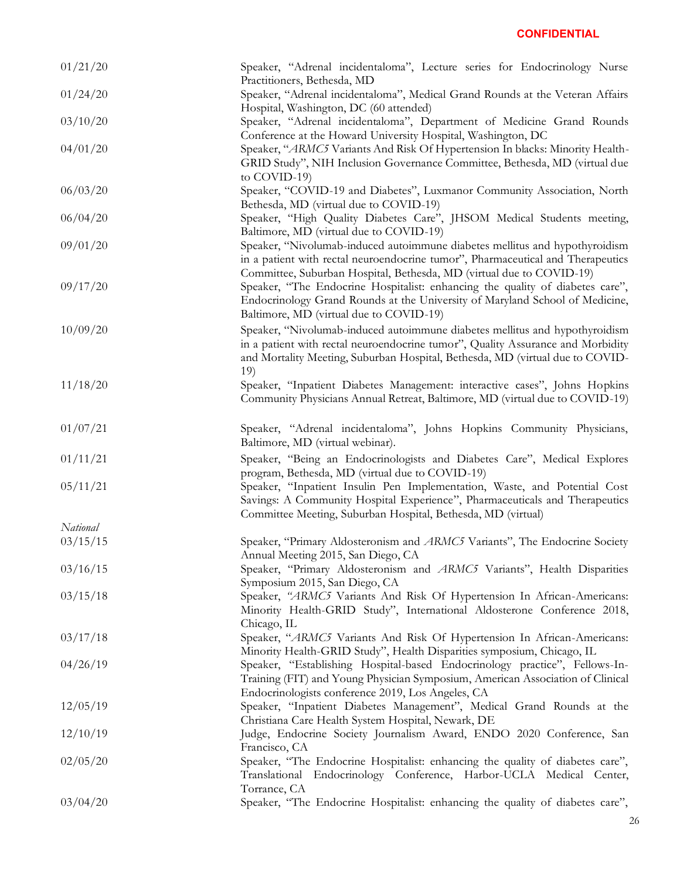| 01/21/20 | Speaker, "Adrenal incidentaloma", Lecture senes for Endocrinology Nurse<br>Practitioners, Bethesda, MD                                                                                                                                                 |
|----------|--------------------------------------------------------------------------------------------------------------------------------------------------------------------------------------------------------------------------------------------------------|
| 01/24/20 | Speaker, "Adrenal incidentaloma", Medical Grand Rounds at the Veteran Affairs<br>Hospital, Washington, DC (60 attended)                                                                                                                                |
| 03/10/20 | Speaker, "Adrenal incidentaloma", Department of Medicine Grand Rounds<br>Conference at the Howard University Hospital, Washington, DC                                                                                                                  |
| 04/01/20 | Speaker, "ARMC5 Variants And Risk Of Hypertension In blacks: Minority Health-<br>GRID Study", NIH Inclusion Governance Committee, Bethesda, MD (virtual due<br>to COVID-19)                                                                            |
| 06/03/20 | Speaker, "COVID-19 and Diabetes", Luxmanor Community Association, North<br>Bethesda, MD (virtual due to COVID-19)                                                                                                                                      |
| 06/04/20 | Speaker, "High Quality Diabetes Care", JHSOM Medical Students meeting,<br>Baltimore, MD (virtual due to COVID-19)                                                                                                                                      |
| 09/01/20 | Speaker, "Nivolumab-induced autoimmune diabetes mellitus and hypothyroidism<br>in a patient with rectal neuroendocrine tumor", Pharmaceutical and Therapeutics<br>Committee, Suburban Hospital, Bethesda, MD (virtual due to COVID-19)                 |
| 09/17/20 | Speaker, "The Endocrine Hospitalist: enhancing the quality of diabetes care",<br>Endocrinology Grand Rounds at the University of Maryland School of Medicine,<br>Baltimore, MD (virtual due to COVID-19)                                               |
| 10/09/20 | Speaker, "Nivolumab-induced autoimmune diabetes mellitus and hypothyroidism<br>in a patient with rectal neuroendocrine tumor", Quality Assurance and Morbidity<br>and Mortality Meeting, Suburban Hospital, Bethesda, MD (virtual due to COVID-<br>19) |
| 11/18/20 | Speaker, "Inpatient Diabetes Management: interactive cases", Johns Hopkins<br>Community Physicians Annual Retreat, Baltimore, MD (virtual due to COVID-19)                                                                                             |
| 01/07/21 | Speaker, "Adrenal incidentaloma", Johns Hopkins Community Physicians,<br>Baltimore, MD (virtual webinar).                                                                                                                                              |
| 01/11/21 | Speaker, "Being an Endocrinologists and Diabetes Care", Medical Explores<br>program, Bethesda, MD (virtual due to COVID-19)                                                                                                                            |
| 05/11/21 | Speaker, "Inpatient Insulin Pen Implementation, Waste, and Potential Cost<br>Savings: A Community Hospital Experience", Pharmaceuticals and Therapeutics<br>Committee Meeting, Suburban Hospital, Bethesda, MD (virtual)                               |
| National |                                                                                                                                                                                                                                                        |
| 03/15/15 | Speaker, "Primary Aldosteronism and ARMC5 Variants", The Endocrine Society<br>Annual Meeting 2015, San Diego, CA                                                                                                                                       |
| 03/16/15 | Speaker, "Primary Aldosteronism and ARMC5 Variants", Health Disparities<br>Symposium 2015, San Diego, CA                                                                                                                                               |
| 03/15/18 | Speaker, "ARMC5 Variants And Risk Of Hypertension In African-Americans:<br>Minority Health-GRID Study", International Aldosterone Conference 2018,<br>Chicago, IL                                                                                      |
| 03/17/18 | Speaker, "ARMC5 Variants And Risk Of Hypertension In African-Americans:<br>Minority Health-GRID Study", Health Disparities symposium, Chicago, IL                                                                                                      |
| 04/26/19 | Speaker, "Establishing Hospital-based Endocrinology practice", Fellows-In-<br>Training (FIT) and Young Physician Symposium, American Association of Clinical<br>Endocrinologists conference 2019, Los Angeles, CA                                      |
| 12/05/19 | Speaker, "Inpatient Diabetes Management", Medical Grand Rounds at the<br>Christiana Care Health System Hospital, Newark, DE                                                                                                                            |
| 12/10/19 | Judge, Endocrine Society Journalism Award, ENDO 2020 Conference, San<br>Francisco, CA                                                                                                                                                                  |
| 02/05/20 | Speaker, "The Endocrine Hospitalist: enhancing the quality of diabetes care",<br>Translational Endocrinology Conference, Harbor-UCLA Medical Center,<br>Torrance, CA                                                                                   |
| 03/04/20 | Speaker, "The Endocrine Hospitalist: enhancing the quality of diabetes care",                                                                                                                                                                          |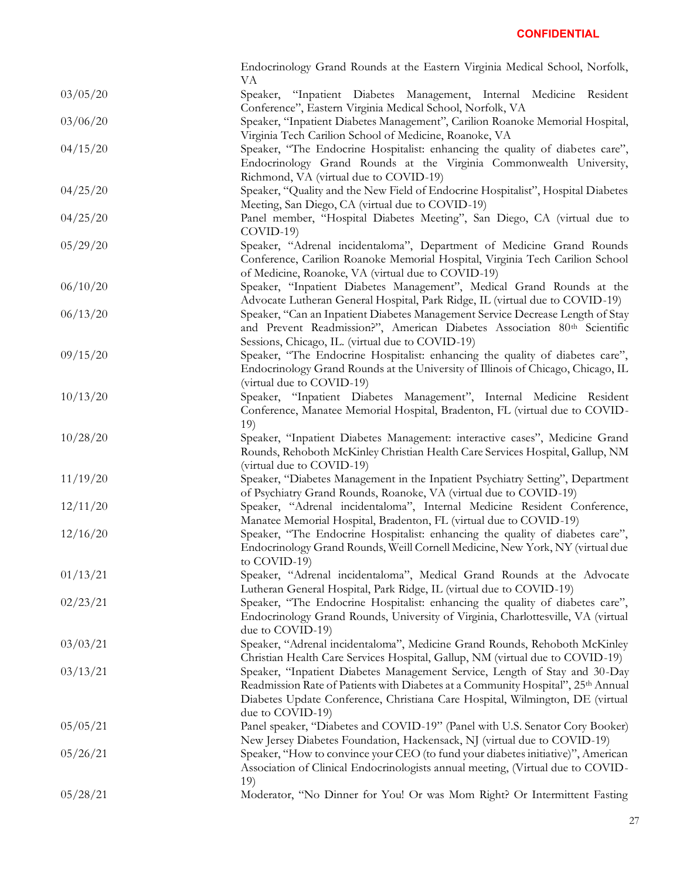|          | Endocrinology Grand Rounds at the Eastern Virginia Medical School, Norfolk,<br>VA                                                                                                                                                                                   |
|----------|---------------------------------------------------------------------------------------------------------------------------------------------------------------------------------------------------------------------------------------------------------------------|
| 03/05/20 | Speaker, "Inpatient Diabetes Management, Internal Medicine Resident<br>Conference", Eastern Virginia Medical School, Norfolk, VA                                                                                                                                    |
| 03/06/20 | Speaker, "Inpatient Diabetes Management", Carilion Roanoke Memorial Hospital,<br>Virginia Tech Carilion School of Medicine, Roanoke, VA                                                                                                                             |
| 04/15/20 | Speaker, "The Endocrine Hospitalist: enhancing the quality of diabetes care",<br>Endocrinology Grand Rounds at the Virginia Commonwealth University,                                                                                                                |
| 04/25/20 | Richmond, VA (virtual due to COVID-19)<br>Speaker, "Quality and the New Field of Endocrine Hospitalist", Hospital Diabetes<br>Meeting, San Diego, CA (virtual due to COVID-19)                                                                                      |
| 04/25/20 | Panel member, "Hospital Diabetes Meeting", San Diego, CA (virtual due to<br>$COVID-19$                                                                                                                                                                              |
| 05/29/20 | Speaker, "Adrenal incidentaloma", Department of Medicine Grand Rounds<br>Conference, Carilion Roanoke Memorial Hospital, Virginia Tech Carilion School<br>of Medicine, Roanoke, VA (virtual due to COVID-19)                                                        |
| 06/10/20 | Speaker, "Inpatient Diabetes Management", Medical Grand Rounds at the<br>Advocate Lutheran General Hospital, Park Ridge, IL (virtual due to COVID-19)                                                                                                               |
| 06/13/20 | Speaker, "Can an Inpatient Diabetes Management Service Decrease Length of Stay<br>and Prevent Readmission?", American Diabetes Association 80 <sup>th</sup> Scientific<br>Sessions, Chicago, IL. (virtual due to COVID-19)                                          |
| 09/15/20 | Speaker, "The Endocrine Hospitalist: enhancing the quality of diabetes care",<br>Endocrinology Grand Rounds at the University of Illinois of Chicago, Chicago, IL<br>(virtual due to COVID-19)                                                                      |
| 10/13/20 | Speaker, "Inpatient Diabetes Management", Internal Medicine Resident<br>Conference, Manatee Memorial Hospital, Bradenton, FL (virtual due to COVID-<br>19)                                                                                                          |
| 10/28/20 | Speaker, "Inpatient Diabetes Management: interactive cases", Medicine Grand<br>Rounds, Rehoboth McKinley Christian Health Care Services Hospital, Gallup, NM<br>(virtual due to COVID-19)                                                                           |
| 11/19/20 | Speaker, "Diabetes Management in the Inpatient Psychiatry Setting", Department<br>of Psychiatry Grand Rounds, Roanoke, VA (virtual due to COVID-19)                                                                                                                 |
| 12/11/20 | Speaker, "Adrenal incidentaloma", Internal Medicine Resident Conference,<br>Manatee Memorial Hospital, Bradenton, FL (virtual due to COVID-19)                                                                                                                      |
| 12/16/20 | Speaker, "The Endocrine Hospitalist: enhancing the quality of diabetes care",<br>Endocrinology Grand Rounds, Weill Cornell Medicine, New York, NY (virtual due<br>to COVID-19)                                                                                      |
| 01/13/21 | Speaker, "Adrenal incidentaloma", Medical Grand Rounds at the Advocate<br>Lutheran General Hospital, Park Ridge, IL (virtual due to COVID-19)                                                                                                                       |
| 02/23/21 | Speaker, "The Endocrine Hospitalist: enhancing the quality of diabetes care",<br>Endocrinology Grand Rounds, University of Virginia, Charlottesville, VA (virtual<br>due to COVID-19)                                                                               |
| 03/03/21 | Speaker, "Adrenal incidentaloma", Medicine Grand Rounds, Rehoboth McKinley<br>Christian Health Care Services Hospital, Gallup, NM (virtual due to COVID-19)                                                                                                         |
| 03/13/21 | Speaker, "Inpatient Diabetes Management Service, Length of Stay and 30-Day<br>Readmission Rate of Patients with Diabetes at a Community Hospital", 25th Annual<br>Diabetes Update Conference, Christiana Care Hospital, Wilmington, DE (virtual<br>due to COVID-19) |
| 05/05/21 | Panel speaker, "Diabetes and COVID-19" (Panel with U.S. Senator Cory Booker)<br>New Jersey Diabetes Foundation, Hackensack, NJ (virtual due to COVID-19)                                                                                                            |
| 05/26/21 | Speaker, "How to convince your CEO (to fund your diabetes initiative)", American<br>Association of Clinical Endocrinologists annual meeting, (Virtual due to COVID-<br>19)                                                                                          |
| 05/28/21 | Moderator, "No Dinner for You! Or was Mom Right? Or Intermittent Fasting                                                                                                                                                                                            |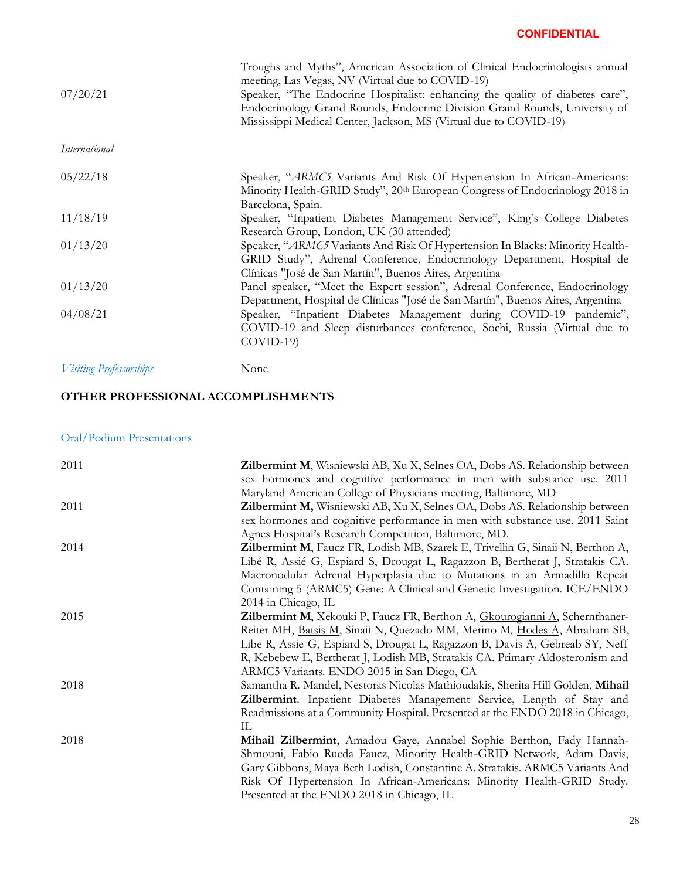|                                | Troughs and Myths", American Association of Clinical Endocrinologists annual<br>meeting, Las Vegas, NV (Virtual due to COVID-19) |
|--------------------------------|----------------------------------------------------------------------------------------------------------------------------------|
| 07/20/21                       | Speaker, "The Endocrine Hospitalist: enhancing the quality of diabetes care",                                                    |
|                                | Endocrinology Grand Rounds, Endocrine Division Grand Rounds, University of                                                       |
|                                | Mississippi Medical Center, Jackson, MS (Virtual due to COVID-19)                                                                |
| International                  |                                                                                                                                  |
| 05/22/18                       | Speaker, "ARMC5 Variants And Risk Of Hypertension In African-Americans:                                                          |
|                                | Minority Health-GRID Study", 20th European Congress of Endocrinology 2018 in                                                     |
|                                | Barcelona, Spain.                                                                                                                |
| 11/18/19                       | Speaker, "Inpatient Diabetes Management Service", King's College Diabetes                                                        |
|                                | Research Group, London, UK (30 attended)                                                                                         |
| 01/13/20                       | Speaker, "ARMC5 Variants And Risk Of Hypertension In Blacks: Minority Health-                                                    |
|                                | GRID Study", Adrenal Conference, Endocrinology Department, Hospital de                                                           |
|                                | Clínicas "José de San Martín", Buenos Aires, Argentina                                                                           |
| 01/13/20                       | Panel speaker, "Meet the Expert session", Adrenal Conference, Endocrinology                                                      |
|                                | Department, Hospital de Clínicas "José de San Martín", Buenos Aires, Argentina                                                   |
| 04/08/21                       | Speaker, "Inpatient Diabetes Management during COVID-19 pandemic",                                                               |
|                                | COVID-19 and Sleep disturbances conference, Sochi, Russia (Virtual due to                                                        |
|                                | $COVID-19$                                                                                                                       |
| <b>Visiting Professorships</b> | None                                                                                                                             |
|                                |                                                                                                                                  |

## **OTHER PROFESSIONAL ACCOMPLISHMENTS**

## Oral/Podium Presentations

| 2011 | Zilbermint M, Wisniewski AB, Xu X, Selnes OA, Dobs AS. Relationship between                |
|------|--------------------------------------------------------------------------------------------|
|      | sex hormones and cognitive performance in men with substance use. 2011                     |
|      | Maryland American College of Physicians meeting, Baltimore, MD                             |
| 2011 | Zilbermint M, Wisniewski AB, Xu X, Selnes OA, Dobs AS. Relationship between                |
|      | sex hormones and cognitive performance in men with substance use. 2011 Saint               |
|      | Agnes Hospital's Research Competition, Baltimore, MD.                                      |
| 2014 | Zilbermint M, Faucz FR, Lodish MB, Szarek E, Trivellin G, Sinaii N, Berthon A,             |
|      | Libé R, Assié G, Espiard S, Drougat L, Ragazzon B, Bertherat J, Stratakis CA.              |
|      | Macronodular Adrenal Hyperplasia due to Mutations in an Armadillo Repeat                   |
|      | Containing 5 (ARMC5) Gene: A Clinical and Genetic Investigation. ICE/ENDO                  |
|      | 2014 in Chicago, IL                                                                        |
| 2015 | <b>Zilbermint M,</b> Xekouki P, Faucz FR, Berthon A, <i>Gkourogianni A</i> , Schernthaner- |
|      | Reiter MH, Batsis M, Sinaii N, Quezado MM, Merino M, Hodes A, Abraham SB,                  |
|      | Libe R, Assie G, Espiard S, Drougat L, Ragazzon B, Davis A, Gebreab SY, Neff               |
|      | R, Kebebew E, Bertherat J, Lodish MB, Stratakis CA. Primary Aldosteronism and              |
|      | ARMC5 Variants. ENDO 2015 in San Diego, CA                                                 |
| 2018 | Samantha R. Mandel, Nestoras Nicolas Mathioudakis, Sherita Hill Golden, Mihail             |
|      | Zilbermint. Inpatient Diabetes Management Service, Length of Stay and                      |
|      | Readmissions at a Community Hospital. Presented at the ENDO 2018 in Chicago,               |
|      | IL.                                                                                        |
| 2018 | Mihail Zilbermint, Amadou Gaye, Annabel Sophie Berthon, Fady Hannah-                       |
|      | Shmouni, Fabio Rueda Faucz, Minority Health-GRID Network, Adam Davis,                      |
|      | Gary Gibbons, Maya Beth Lodish, Constantine A. Stratakis. ARMC5 Variants And               |
|      | Risk Of Hypertension In African-Americans: Minority Health-GRID Study.                     |
|      | Presented at the ENDO 2018 in Chicago, IL                                                  |